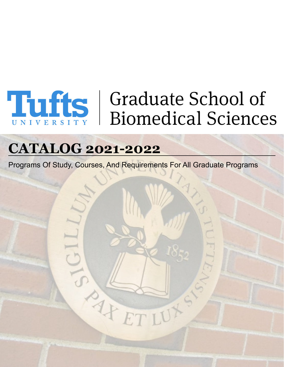# **Third School of Biomedical Sciences**

# **CATALOG 2021-2022**

Programs Of Study, Courses, And Requirements For All Graduate Programs

AFF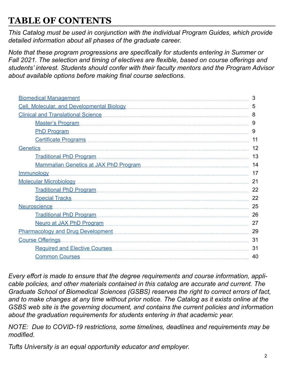# **TABLE OF CONTENTS**

*This Catalog must be used in conjunction with the individual Program Guides, which provide detailed information about all phases of the graduate career.*

*Note that these program progressions are specifically for students entering in Summer or Fall 2021. The selection and timing of electives are flexible, based on course offerings and students' interest. Students should confer with their faculty mentors and the Program Advisor about available options before making final course selections.*

| <b>Biomedical Management</b>                                                                                                                                                                                                        | 3  |
|-------------------------------------------------------------------------------------------------------------------------------------------------------------------------------------------------------------------------------------|----|
|                                                                                                                                                                                                                                     | 5  |
|                                                                                                                                                                                                                                     | 8  |
|                                                                                                                                                                                                                                     | 9  |
| PhD Program.                                                                                                                                                                                                                        | 9  |
|                                                                                                                                                                                                                                     | 11 |
| Genetics                                                                                                                                                                                                                            | 12 |
| Traditional PhD Program                                                                                                                                                                                                             | 13 |
|                                                                                                                                                                                                                                     | 14 |
| <u>Immunology</u>                                                                                                                                                                                                                   | 17 |
| Molecular Microbiology [11] Molecular Microbiology [11] Molecular Microbiology [11] Molecular Microbiology [11                                                                                                                      | 21 |
|                                                                                                                                                                                                                                     | 22 |
| Special Tracks <b>Mateurs</b> 2008 and Tracks and Tracks and Tracks and Tracks and Tracks and Tracks and Tracks and Tracks and Tracks and Tracks and Tracks and Tracks and Tracks and Tracks and Tracks and Tracks and Tracks and T | 22 |
| Neuroscience.                                                                                                                                                                                                                       | 25 |
| Traditional PhD Program                                                                                                                                                                                                             | 26 |
|                                                                                                                                                                                                                                     | 27 |
|                                                                                                                                                                                                                                     | 29 |
| Course Offerings                                                                                                                                                                                                                    | 31 |
|                                                                                                                                                                                                                                     | 31 |
| Common Courses                                                                                                                                                                                                                      | 40 |
|                                                                                                                                                                                                                                     |    |

*Every effort is made to ensure that the degree requirements and course information, applicable policies, and other materials contained in this catalog are accurate and current. The Graduate School of Biomedical Sciences (GSBS) reserves the right to correct errors of fact, and to make changes at any time without prior notice. The Catalog as it exists online at the GSBS web site is the governing document, and contains the current policies and information about the graduation requirements for students entering in that academic year.*

*NOTE: Due to COVID-19 restrictions, some timelines, deadlines and requirements may be modified.*

*Tufts University is an equal opportunity educator and employer.*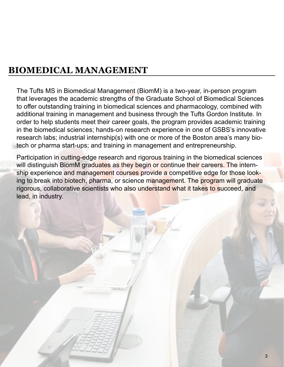# **BIOMEDICAL MANAGEMENT**

The Tufts MS in Biomedical Management (BiomM) is a two-year, in-person program that leverages the academic strengths of the Graduate School of Biomedical Sciences to offer outstanding training in biomedical sciences and pharmacology, combined with additional training in management and business through the Tufts Gordon Institute. In order to help students meet their career goals, the program provides academic training in the biomedical sciences; hands-on research experience in one of GSBS's innovative research labs; industrial internship(s) with one or more of the Boston area's many biotech or pharma start-ups; and training in management and entrepreneurship.

Participation in cutting-edge research and rigorous training in the biomedical sciences will distinguish BiomM graduates as they begin or continue their careers. The internship experience and management courses provide a competitive edge for those looking to break into biotech, pharma, or science management. The program will graduate rigorous, collaborative scientists who also understand what it takes to succeed, and lead, in industry.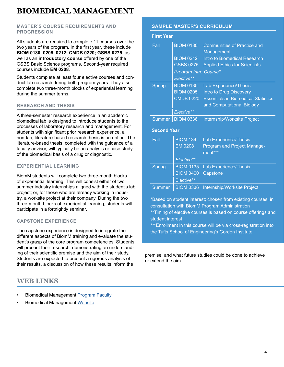# **BIOMEDICAL MANAGEMENT**

### **MASTER'S COURSE REQUIREMENTS AND PROGRESSION**

All students are required to complete 11 courses over the two years of the program. In the first year, these include **BIOM 0180, 0205, 0212; CMDB 0220; GSBS 0275**, as well as an **introductory course** offered by one of the GSBS Basic Science programs. Second-year required courses include **EM 0208**.

Students complete at least four elective courses and conduct lab research during both program years. They also complete two three-month blocks of experiential learning during the summer terms.

### **RESEARCH AND THESIS**

A three-semester research experience in an academic biomedical lab is designed to introduce students to the processes of laboratory research and management. For students with significant prior research experience, a non-lab, literature-based research thesis is an option. The literature-based thesis, completed with the guidance of a faculty advisor, will typically be an analysis or case study of the biomedical basis of a drug or diagnostic.

### **EXPERIENTIAL LEARNING**

BiomM students will complete two three-month blocks of experiential learning. This will consist either of two summer industry internships aligned with the student's lab project; or, for those who are already working in industry, a worksite project at their company. During the two three-month blocks of experiential learning, students will participate in a fortnightly seminar.

### **CAPSTONE EXPERIENCE**

The capstone experience is designed to integrate the different aspects of BiomM training and evaluate the student's grasp of the core program competencies. Students will present their research, demonstrating an understanding of their scientific premise and the aim of their study. Students are expected to present a rigorous analysis of their results, a discussion of how these results inform the

### **WEB LINKS**

- Biomedical Management [Program Faculty](https://gsbs.tufts.edu/academics/BiomM/research-mentors)
- **Biomedical Management [Website](https://gsbs.tufts.edu/academics/BiomM)**

### **SAMPLE MASTER'S CURRICULUM**

#### **First Year**

| Fall               | <b>BIOM 0180</b><br><b>BIOM 0212</b><br><b>GSBS 0275</b><br><b>Program Intro Course*</b><br>Elective** | <b>Communities of Practice and</b><br>Management<br>Intro to Biomedical Research<br><b>Applied Ethics for Scientists</b> |
|--------------------|--------------------------------------------------------------------------------------------------------|--------------------------------------------------------------------------------------------------------------------------|
| <b>Spring</b>      | <b>BIOM 0135</b>                                                                                       | <b>Lab Experience/Thesis</b>                                                                                             |
|                    | <b>BIOM 0205</b>                                                                                       | Intro to Drug Discovery                                                                                                  |
|                    | <b>CMDB 0220</b>                                                                                       | <b>Essentials in Biomedical Statistics</b>                                                                               |
|                    |                                                                                                        | and Computational Biology                                                                                                |
|                    | Elective**                                                                                             |                                                                                                                          |
| <b>Summer</b>      | <b>BIOM 0336</b>                                                                                       | <b>Internship/Worksite Project</b>                                                                                       |
|                    |                                                                                                        |                                                                                                                          |
| <b>Second Year</b> |                                                                                                        |                                                                                                                          |
| Fall               | <b>BIOM 134</b>                                                                                        | Lab Experience/Thesis                                                                                                    |
|                    | <b>EM 0208</b>                                                                                         | Program and Project Manage-<br>ment***                                                                                   |
|                    | Elective**                                                                                             |                                                                                                                          |
| <b>Spring</b>      | <b>BIOM 0135</b>                                                                                       | <b>Lab Experience/Thesis</b>                                                                                             |
|                    | <b>BIOM 0400</b>                                                                                       | Capstone                                                                                                                 |
|                    | Elective**                                                                                             |                                                                                                                          |

\*Based on student interest; chosen from existing courses, in consultation with BiomM Program Administration

\*\*Timing of elective courses is based on course offerings and student interest

\*\*\*Enrollment in this course will be via cross-registration into the Tufts School of Engineering's Gordon Institute

premise, and what future studies could be done to achieve or extend the aim.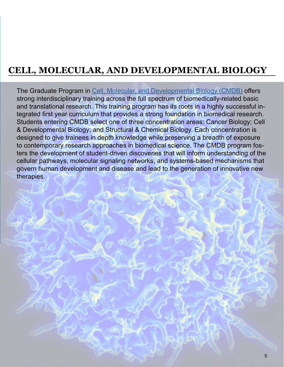# <span id="page-4-0"></span>**CELL, MOLECULAR, AND DEVELOPMENTAL BIOLOGY**

The Graduate Program in [Cell, Molecular, and Developmental Biology \(CMDB\)](https://gsbs.tufts.edu/academics/CMDB) offers strong interdisciplinary training across the full spectrum of biomedically-related basic and translational research. This training program has its roots in a highly successful integrated first year curriculum that provides a strong foundation in biomedical research. Students entering CMDB select one of three concentration areas: Cancer Biology; Cell & Developmental Biology; and Structural & Chemical Biology. Each concentration is designed to give trainees in depth knowledge while preserving a breadth of exposure to contemporary research approaches in biomedical science. The CMDB program fosters the development of student-driven discoveries that will inform understanding of the cellular pathways, molecular signaling networks, and systems-based mechanisms that govern human development and disease and lead to the generation of innovative new therapies.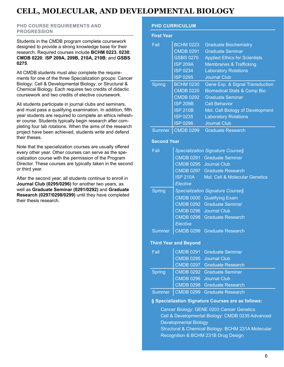### **CELL, MOLECULAR, AND DEVELOPMENTAL BIOLOGY**

### **PHD COURSE REQUIREMENTS AND PROGRESSION**

Students in the CMDB program complete coursework designed to provide a strong knowledge base for their research. Required courses include **BCHM 0223. 0230**; **CMDB 0220**; I**SP 209A, 209B, 210A, 210B**; and **GSBS 0275**.

All CMDB students must also complete the requirements for one of the three Specialization groups: Cancer Biology; Cell & Developmental Biology; or Structural & Chemical Biology. Each requires two credits of didactic coursework and two credits of elective coursework.

All students participate in journal clubs and seminars, and must pass a qualifying examination. In addition, fifth year students are required to complete an ethics refresher course. Students typically begin research after completing four lab rotations. When the aims of the research project have been achieved, students write and defend their theses.

Note that the specialization courses are usually offered every other year. Other courses can serve as the specialization course with the permission of the Program Director. These courses are typically taken in the second or third year.

After the second year, all students continue to enroll in **Journal Club (0295/0296)** for another two years, as well as **Graduate Seminar (0291/0292)** and **Graduate Research (0297/0298/0299)** until they have completed their thesis research.

### **PHD CURRICULUM**

| <b>First Year</b> |  |
|-------------------|--|
|                   |  |
|                   |  |

| Fall               | <b>BCHM 0223</b> | <b>Graduate Biochemistry</b>           |
|--------------------|------------------|----------------------------------------|
|                    | <b>CMDB 0291</b> | <b>Graduate Seminar</b>                |
|                    | <b>GSBS 0275</b> | <b>Applied Ethics for Scientists</b>   |
|                    | <b>ISP 209A</b>  | <b>Membranes &amp; Trafficking</b>     |
|                    | <b>ISP 0234</b>  | <b>Laboratory Rotations</b>            |
|                    | <b>ISP 0295</b>  | <b>Journal Club</b>                    |
| <b>Spring</b>      | <b>BCHM 0230</b> | Gene Exp. & Signal Transduction        |
|                    | <b>CMDB 0220</b> | <b>Biomedical Stats &amp; Comp Bio</b> |
|                    | <b>CMDB 0292</b> | <b>Graduate Seminar</b>                |
|                    | <b>ISP 209B</b>  | <b>Cell Behavior</b>                   |
|                    | <b>ISP 210B</b>  | Mol. Cell Biology of Development       |
|                    | <b>ISP 0235</b>  | <b>Laboratory Rotations</b>            |
|                    | <b>ISP 0296</b>  | <b>Journal Club</b>                    |
| <b>Summer</b>      | <b>CMDB 0299</b> | <b>Graduate Research</b>               |
|                    |                  |                                        |
| <b>Second Year</b> |                  |                                        |
| Fall               |                  | Specialization Signature Course§       |

| ⊦a⊪           |                 | Specialization Signature Courses   |
|---------------|-----------------|------------------------------------|
|               |                 | <b>CMDB 0291 Graduate Seminar</b>  |
|               |                 | CMDB 0295 Journal Club             |
|               |                 | <b>CMDB 0297 Graduate Research</b> |
|               | <b>ISP 210A</b> | Mol. Cell & Molecular Genetics     |
|               | Elective        |                                    |
| Spring        |                 | Specialization Signature Course§   |
|               |                 | CMDB 0000 Qualifying Exam          |
|               |                 | <b>CMDB 0292 Graduate Seminar</b>  |
|               |                 | CMDB 0296 Journal Club             |
|               |                 | <b>CMDB 0298 Graduate Research</b> |
|               | Elective        |                                    |
| <b>Summer</b> |                 | <b>CMDB 0299 Graduate Research</b> |
|               |                 |                                    |

### **Third Year and Beyond**

| Fall          | CMDB 0291 Graduate Seminar           |
|---------------|--------------------------------------|
|               | CMDB 0295 Journal Club               |
|               | <b>CMDB 0297 Graduate Research</b>   |
| <b>Spring</b> | <b>CMDB 0292 Graduate Seminar</b>    |
|               | CMDB 0296 Journal Club               |
|               | <b>CMDB 0298 Graduate Research</b>   |
|               | Summer   CMDB 0299 Graduate Research |

#### **§ Specialization Signature Courses are as follows:**

Cancer Biology: GENE 0203 Cancer Genetics Cell & Developmental Biology: CMDB 0235 Advanced Developmental Biology Structural & Chemical Biology: BCHM 231A Molecular Recognition & BCHM 231B Drug Design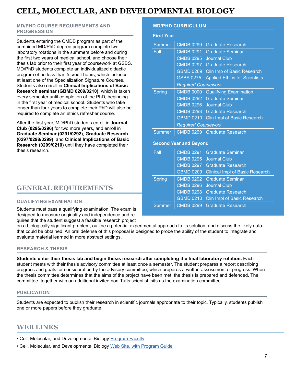# **CELL, MOLECULAR, AND DEVELOPMENTAL BIOLOGY**

### **MD/PHD COURSE REQUIREMENTS AND PROGRESSION**

Students entering the CMDB program as part of the combined MD/PhD degree program complete two laboratory rotations in the summers before and during the first two years of medical school, and choose their thesis lab prior to their first year of coursework at GSBS. MD/PhD students complete an individualized didactic program of no less than 5 credit hours, which includes at least one of the Specialization Signature Courses. Students also enroll in **Clinical Implications of Basic Research seminar (GBMD 0209/0210)**, which is taken every semester until completion of the PhD, beginning in the first year of medical school. Students who take longer than four years to complete their PhD will also be required to complete an ethics refresher course.

After the first year, MD/PhD students enroll in J**ournal Club (0295/0296)** for two more years, and enroll in **Graduate Seminar (0291/0292)**, **Graduate Research (0297/0298/0299)**, and **Clinical Implications of Basic Research (0209/0210)** until they have completed their thesis research.

### **GENERAL REQUIREMENTS**

### **QUALIFYING EXAMINATION**

Students must pass a qualifying examination. The exam is designed to measure originality and independence and requires that the student suggest a feasible research project

on a biologically significant problem, outline a potential experimental approach to its solution, and discuss the likely data that could be obtained. An oral defense of this proposal is designed to probe the ability of the student to integrate and evaluate material learned in more abstract settings.

### **RESEARCH & THESIS**

**Students enter their thesis lab and begin thesis research after completing the final laboratory rotation.** Each student meets with their thesis advisory committee at least once a semester. The student prepares a report describing progress and goals for consideration by the advisory committee, which prepares a written assessment of progress. When the thesis committee determines that the aims of the project have been met, the thesis is prepared and defended. The committee, together with an additional invited non-Tufts scientist, sits as the examination committee.

### **PUBLICATION**

Students are expected to publish their research in scientific journals appropriate to their topic. Typically, students publish one or more papers before they graduate.

### **WEB LINKS**

- Cell, Molecular, and Developmental Biology [Program Faculty](https://gsbs.tufts.edu/academics/CMDB/faculty)
- Cell, Molecular, and Developmental Biology [Web Site, with Program Guide](https://gsbs.tufts.edu/academics/CMDB)

### **MD/PHD CURRICULUM**

| <b>First Year</b> |                               |                                        |  |
|-------------------|-------------------------------|----------------------------------------|--|
| <b>Summer</b>     | CMDB 0299                     | <b>Graduate Research</b>               |  |
| Fall              | <b>CMDB 0291</b>              | <b>Graduate Seminar</b>                |  |
|                   | <b>CMDB 0295</b>              | <b>Journal Club</b>                    |  |
|                   | <b>CMDB 0297</b>              | <b>Graduate Research</b>               |  |
|                   | <b>GBMD 0209</b>              | Clin Imp of Basic Research             |  |
|                   | <b>GSBS 0275</b>              | <b>Applied Ethics for Scientists</b>   |  |
|                   | <b>Required Coursework</b>    |                                        |  |
| <b>Spring</b>     | <b>CMDB 0000</b>              | <b>Qualifying Examination</b>          |  |
|                   | <b>CMDB 0292</b>              | <b>Graduate Seminar</b>                |  |
|                   | <b>CMDB 0296</b>              | <b>Journal Club</b>                    |  |
|                   |                               | CMDB 0298 Graduate Research            |  |
|                   | <b>GBMD 0210</b>              | <b>Clin Impl of Basic Research</b>     |  |
|                   | <b>Required Coursework</b>    |                                        |  |
| <b>Summer</b>     |                               | CMDB 0299 Graduate Research            |  |
|                   | <b>Second Year and Beyond</b> |                                        |  |
| Fall              | <b>CMDB 0291</b>              | <b>Graduate Seminar</b>                |  |
|                   | <b>CMDB 0295</b>              | <b>Journal Club</b>                    |  |
|                   | <b>CMDB 0297</b>              | <b>Graduate Research</b>               |  |
|                   | <b>GBMD 0209</b>              | <b>Clinical Impl of Basic Research</b> |  |
| <b>Spring</b>     | <b>CMDB 0292</b>              | <b>Graduate Seminar</b>                |  |
|                   | <b>CMDB 0296</b>              | <b>Journal Club</b>                    |  |
|                   | <b>CMDB 0298</b>              | <b>Graduate Research</b>               |  |
|                   | <b>GBMD 0210</b>              | <b>Clin Impl of Basic Research</b>     |  |

Summer | CMDB 0299 Graduate Research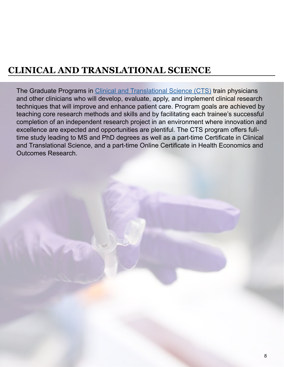<span id="page-7-0"></span>The Graduate Programs in [Clinical and Translational Science \(CTS\)](https://gsbs.tufts.edu/academics/CTS) train physicians and other clinicians who will develop, evaluate, apply, and implement clinical research techniques that will improve and enhance patient care. Program goals are achieved by teaching core research methods and skills and by facilitating each trainee's successful completion of an independent research project in an environment where innovation and excellence are expected and opportunities are plentiful. The CTS program offers fulltime study leading to MS and PhD degrees as well as a part-time Certificate in Clinical and Translational Science, and a part-time Online Certificate in Health Economics and Outcomes Research.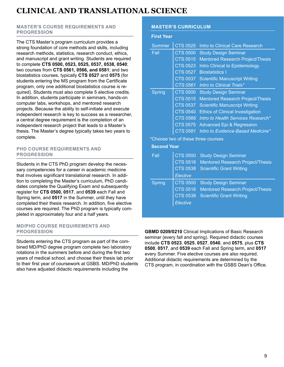### <span id="page-8-0"></span>**MASTER'S COURSE REQUIREMENTS AND PROGRESSION**

The CTS Master's program curriculum provides a strong foundation of core methods and skills, including research methods, statistics, research conduct, ethics, and manuscript and grant writing. Students are required to complete **CTS 0500, 0523, 0525, 0537, 0538, 0540**; two courses from **CTS 0561, 0566, and 0581**; and two biostatistics courses, typically **CTS 0527** and **0575** (for students entering the MS program from the Certificate program, only one additional biostatistics course is required). Students must also complete 5 elective credits. In addition, students participate in seminars, hands-on computer labs, workshops, and mentored research projects. Because the ability to self-initiate and execute independent research is key to success as a researcher, a central degree requirement is the completion of an independent research project that leads to a Master's thesis. The Master's degree typically takes two years to complete.

### **PHD COURSE REQUIREMENTS AND PROGRESSION**

Students in the CTS PhD program develop the necessary competencies for a career in academic medicine that involves significant translational research. In addition to completing the Master's curriculum, PhD candidates complete the Qualifying Exam and subsequently register for **CTS 0500, 0517**, and **0539** each Fall and Spring term, and **0517** in the Summer, until they have completed their thesis research. In addition, five elective courses are required. The PhD program is typically completed in approximately four and a half years.

### **MD/PHD COURSE REQUIREMENTS AND PROGRESSION**

Students entering the CTS program as part of the combined MD/PhD degree program complete two laboratory rotations in the summers before and during the first two years of medical school, and choose their thesis lab prior to their first year of coursework at GSBS. MD/PhD students also have adjusted didactic requirements including the

### **MASTER'S CURRICULUM**

#### **First Year**

| <b>Summer</b> | <b>CTS 0525</b> | Intro to Clinical Care Research         |
|---------------|-----------------|-----------------------------------------|
| Fall          | <b>CTS 0500</b> | <b>Study Design Seminar</b>             |
|               | <b>CTS 0515</b> | <b>Mentored Research Project/Thesis</b> |
|               | <b>CTS 0523</b> | Intro Clinical to Epidemiology          |
|               | <b>CTS 0527</b> | <b>Biostatistics I</b>                  |
|               | <b>CTS 0537</b> | <b>Scientific Manuscript Writing</b>    |
|               | <b>CTS 0561</b> | Intro to Clinical Trials*               |
| Spring        | <b>CTS 0500</b> | <b>Study Design Seminar</b>             |
|               | <b>CTS 0515</b> | <b>Mentored Research Project/Thesis</b> |
|               | <b>CTS 0537</b> | <b>Scientific Manuscript Writing</b>    |
|               | <b>CTS 0540</b> | <b>Ethics of Clinical Investigation</b> |
|               | <b>CTS 0566</b> | Intro to Health Services Research*      |
|               | <b>CTS 0575</b> | <b>Advanced Epi &amp; Regression</b>    |
|               | CTS 0581        | Intro to Evidence-Based Medicine*       |

\*Choose two of these three courses

### **Second Year**

| Fall          | <b>CTS 0500</b><br><b>CTS 0516</b><br><b>CTS 0538</b> | <b>Study Design Seminar</b><br><b>Mentored Research Project/Thesis</b><br><b>Scientific Grant Writing</b> |
|---------------|-------------------------------------------------------|-----------------------------------------------------------------------------------------------------------|
|               | <b>Elective</b>                                       |                                                                                                           |
| <b>Spring</b> | <b>CTS 0500</b>                                       | <b>Study Design Seminar</b>                                                                               |
|               | <b>CTS 0516</b>                                       | <b>Mentored Research Project/Thesis</b>                                                                   |
|               | <b>CTS 0538</b>                                       | <b>Scientific Grant Writing</b>                                                                           |
|               | Elective                                              |                                                                                                           |

**GBMD 0209/0210** Clinical Implications of Basic Research seminar (every fall and spring). Required didactic courses include **CTS 0523**, **0525**, **0527**, **0540**, and **0575**, plus **CTS 0500**, **0517**, and **0539** each Fall and Spring term, and **0517** every Summer. Five elective courses are also required. Additional didactic requirements are determined by the CTS program, in coordination with the GSBS Dean's Office.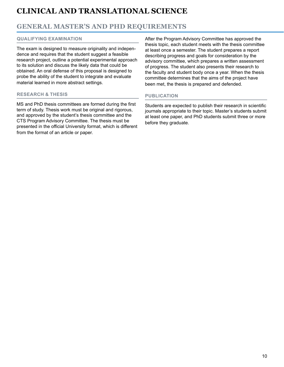### **GENERAL MASTER'S AND PHD REQUIREMENTS**

### **QUALIFYING EXAMINATION**

The exam is designed to measure originality and independence and requires that the student suggest a feasible research project, outline a potential experimental approach to its solution and discuss the likely data that could be obtained. An oral defense of this proposal is designed to probe the ability of the student to integrate and evaluate material learned in more abstract settings.

### **RESEARCH & THESIS**

MS and PhD thesis committees are formed during the first term of study. Thesis work must be original and rigorous, and approved by the student's thesis committee and the CTS Program Advisory Committee. The thesis must be presented in the official University format, which is different from the format of an article or paper.

After the Program Advisory Committee has approved the thesis topic, each student meets with the thesis committee at least once a semester. The student prepares a report describing progress and goals for consideration by the advisory committee, which prepares a written assessment of progress. The student also presents their research to the faculty and student body once a year. When the thesis committee determines that the aims of the project have been met, the thesis is prepared and defended.

### **PUBLICATION**

Students are expected to publish their research in scientific journals appropriate to their topic. Master's students submit at least one paper, and PhD students submit three or more before they graduate.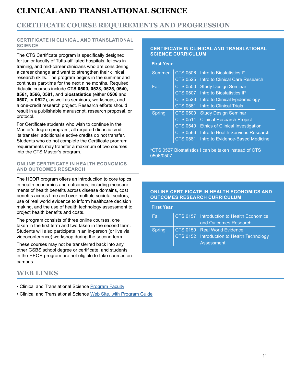### <span id="page-10-0"></span>**CERTIFICATE COURSE REQUIREMENTS AND PROGRESSION**

#### **CERTIFICATE IN CLINICAL AND TRANSLATIONAL SCIENCE**

The CTS Certificate program is specifically designed for junior faculty of Tufts-affiliated hospitals, fellows in training, and mid-career clinicians who are considering a career change and want to strengthen their clinical research skills. The program begins in the summer and continues part-time for the next nine months. Required didactic courses include **CTS 0500, 0523, 0525, 0540, 0561, 0566, 0581**, and **biostatistics** (either **0506** and **0507**, or **0527**), as well as seminars, workshops, and a one-credit research project. Research efforts should result in a publishable manuscript, research proposal, or protocol.

For Certificate students who wish to continue in the Master's degree program, all required didactic credits transfer; additional elective credits do not transfer. Students who do not complete the Certificate program requirements may transfer a maximum of two courses into the CTS Master's program.

#### **ONLINE CERTIFICATE IN HEALTH ECONOMICS AND OUTCOMES RESEARCH**

The HEOR program offers an introduction to core topics in health economics and outcomes, including measurements of health benefits across disease domains, cost benefits across time and over multiple societal sectors, use of real world evidence to inform healthcare decision making, and the use of health technology assessment to project health benefits and costs.

The program consists of three online courses, one taken in the first term and two taken in the second term. Students will also participate in an in-person (or live via videoconference) workshop during the second term.

These courses may not be transferred back into any other GSBS school degree or certificate, and students in the HEOR program are not eligible to take courses on campus.

### **WEB LINKS**

- Clinical and Translational Science [Program Faculty](https://gsbs.tufts.edu/academics/CTS/faculty)
- Clinical and Translational Science [Web Site, with Program Guide](https://gsbs.tufts.edu/academics/CTS)

#### **CERTIFICATE IN CLINICAL AND TRANSLATIONAL SCIENCE CURRICULUM**

| <b>First Year</b> |                 |                                         |
|-------------------|-----------------|-----------------------------------------|
| <b>Summer</b>     | <b>CTS 0506</b> | Intro to Biostatistics I*               |
|                   | <b>CTS 0525</b> | Intro to Clinical Care Research         |
| Fall              | <b>CTS 0500</b> | <b>Study Design Seminar</b>             |
|                   | <b>CTS 0507</b> | Intro to Biostatistics II*              |
|                   | <b>CTS 0523</b> | Intro to Clinical Epidemiology          |
|                   | <b>CTS 0561</b> | <b>Intro to Clinical Trials</b>         |
| <b>Spring</b>     | <b>CTS 0500</b> | <b>Study Design Seminar</b>             |
|                   | <b>CTS 0514</b> | <b>Clinical Research Project</b>        |
|                   | <b>CTS 0540</b> | <b>Ethics of Clinical Investigation</b> |
|                   | <b>CTS 0566</b> | Intro to Health Services Research       |
|                   | CTS 0581        | <b>Intro to Evidence-Based Medicine</b> |

\*CTS 0527 Biostatistics I can be taken instead of CTS 0506/0507

### **ONLINE CERTIFICATE IN HEALTH ECONOMICS AND OUTCOMES RESEARCH CURRICULUM**

| <b>First Year</b> |                                            |
|-------------------|--------------------------------------------|
| Fall <b>F</b>     | CTS 0157 Introduction to Health Economics  |
|                   | and Outcomes Research                      |
| <b>Spring</b>     | CTS 0150 Real World Evidence               |
|                   | CTS 0152 Introduction to Health Technology |
|                   | Assessment                                 |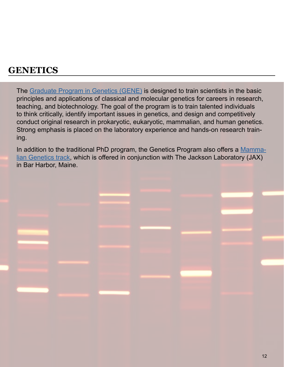<span id="page-11-0"></span>The [Graduate Program in Genetics \(GENE\)](https://gsbs.tufts.edu/academics/genetics) is designed to train scientists in the basic principles and applications of classical and molecular genetics for careers in research, teaching, and biotechnology. The goal of the program is to train talented individuals to think critically, identify important issues in genetics, and design and competitively conduct original research in prokaryotic, eukaryotic, mammalian, and human genetics. Strong emphasis is placed on the laboratory experience and hands-on research training.

In addition to the traditional PhD program, the Genetics Program also offers a [Mamma](https://gsbs.tufts.edu/academics/mammalianGenetics)[lian Genetics track,](https://gsbs.tufts.edu/academics/mammalianGenetics) which is offered in conjunction with The Jackson Laboratory (JAX) in Bar Harbor, Maine.

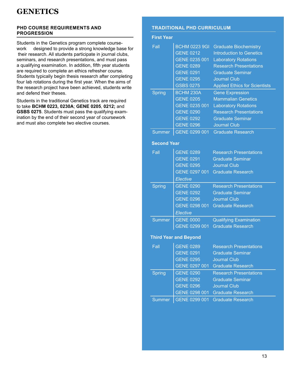### <span id="page-12-0"></span>**PHD COURSE REQUIREMENTS AND PROGRESSION**

Students in the Genetics program complete coursework designed to provide a strong knowledge base for their research. All students participate in journal clubs, seminars, and research presentations, and must pass a qualifying examination. In addition, fifth year students are required to complete an ethics refresher course. Students typically begin thesis research after completing four lab rotations during the first year. When the aims of the research project have been achieved, students write and defend their theses.

Students in the traditional Genetics track are required to take **BCHM 0223, 0230A**; **GENE 0205**, **0212;** and **GSBS 0275**. Students must pass the qualifying examination by the end of their second year of coursework and must also complete two elective courses.

### **TRADITIONAL PHD CURRICULUM**

| <b>First Year</b>            |                      |                                      |  |
|------------------------------|----------------------|--------------------------------------|--|
| Fall                         | <b>BCHM 0223 9GI</b> | <b>Graduate Biochemistry</b>         |  |
|                              | <b>GENE 0212</b>     | <b>Introduction to Genetics</b>      |  |
|                              | GENE 0235 001        | <b>Laboratory Rotations</b>          |  |
|                              | <b>GENE 0289</b>     | <b>Research Presentations</b>        |  |
|                              | <b>GENE 0291</b>     | <b>Graduate Seminar</b>              |  |
|                              | <b>GENE 0295</b>     | <b>Journal Club</b>                  |  |
|                              | <b>GSBS 0275</b>     | <b>Applied Ethics for Scientists</b> |  |
| <b>Spring</b>                | <b>BCHM 230A</b>     | <b>Gene Expression</b>               |  |
|                              | <b>GENE 0205</b>     | <b>Mammalian Genetics</b>            |  |
|                              | GENE 0235 001        | <b>Laboratory Rotations</b>          |  |
|                              | <b>GENE 0290</b>     | <b>Research Presentations</b>        |  |
|                              | <b>GENE 0292</b>     | <b>Graduate Seminar</b>              |  |
|                              | <b>GENE 0296</b>     | <b>Journal Club</b>                  |  |
| <b>Summer</b>                |                      | GENE 0299 001 Graduate Research      |  |
| <b>Second Year</b>           |                      |                                      |  |
| Fall                         | <b>GENE 0289</b>     | <b>Research Presentations</b>        |  |
|                              | <b>GENE 0291</b>     | <b>Graduate Seminar</b>              |  |
|                              | <b>GENE 0295</b>     | <b>Journal Club</b>                  |  |
|                              | GENE 0297 001        | <b>Graduate Research</b>             |  |
|                              | Elective             |                                      |  |
| <b>Spring</b>                | <b>GENE 0290</b>     | <b>Research Presentations</b>        |  |
|                              | <b>GENE 0292</b>     | <b>Graduate Seminar</b>              |  |
|                              | <b>GENE 0296</b>     | <b>Journal Club</b>                  |  |
|                              | GENE 0298 001        | <b>Graduate Research</b>             |  |
|                              | Elective             |                                      |  |
| Summer                       | <b>GENE 0000</b>     | <b>Qualifying Examination</b>        |  |
|                              | GENE 0299 001        | <b>Graduate Research</b>             |  |
| <b>Third Year and Beyond</b> |                      |                                      |  |
| Fall                         | <b>GENE 0289</b>     | <b>Research Presentations</b>        |  |
|                              | <b>GENE 0291</b>     | <b>Graduate Seminar</b>              |  |
|                              | <b>GENE 0295</b>     | <b>Journal Club</b>                  |  |
|                              | GENE 0297 001        | <b>Graduate Research</b>             |  |
| <b>Spring</b>                | <b>GENE 0290</b>     | <b>Research Presentations</b>        |  |
|                              | <b>GENE 0292</b>     | <b>Graduate Seminar</b>              |  |
|                              | <b>GENE 0296</b>     | <b>Journal Club</b>                  |  |

GENE 0298 001 Graduate Research

Summer | GENE 0299 001 Graduate Research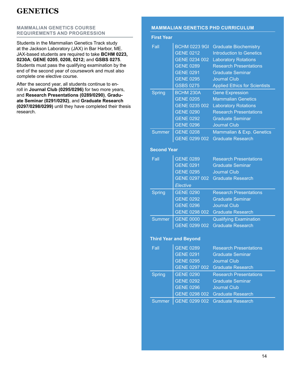### <span id="page-13-0"></span>**MAMMALIAN GENETICS COURSE REQUIREMENTS AND PROGRESSION**

Students in the Mammalian Genetics Track study at the Jackson Laboratory (JAX) in Bar Harbor, ME. JAX-based students are required to take **BCHM 0223, 0230A**; **GENE 0205**, **0208, 0212;** and **GSBS 0275**. Students must pass the qualifying examination by the end of the second year of coursework and must also complete one elective course.

After the second year, all students continue to enroll in **Journal Club (0295/0296)** for two more years, and **Research Presentations (0289/0290)**, **Graduate Seminar (0291/0292)**, and **Graduate Research (0297/0298/0299)** until they have completed their thesis research.

### **MAMMALIAN GENETICS PHD CURRICULUM**

| <b>First Year</b>  |                              |                                      |
|--------------------|------------------------------|--------------------------------------|
| Fall               | <b>BCHM 0223 9GI</b>         | <b>Graduate Biochemistry</b>         |
|                    | <b>GENE 0212</b>             | <b>Introduction to Genetics</b>      |
|                    | GENE 0234 002                | <b>Laboratory Rotations</b>          |
|                    | <b>GENE 0289</b>             | <b>Research Presentations</b>        |
|                    | <b>GENE 0291</b>             | <b>Graduate Seminar</b>              |
|                    | <b>GENE 0295</b>             | <b>Journal Club</b>                  |
|                    | <b>GSBS 0275</b>             | <b>Applied Ethics for Scientists</b> |
| <b>Spring</b>      | <b>BCHM 230A</b>             | <b>Gene Expression</b>               |
|                    | <b>GENE 0205</b>             | <b>Mammalian Genetics</b>            |
|                    | GENE 0235 002                | <b>Laboratory Rotations</b>          |
|                    | <b>GENE 0290</b>             | <b>Research Presentations</b>        |
|                    | <b>GENE 0292</b>             | <b>Graduate Seminar</b>              |
|                    | <b>GENE 0296</b>             | <b>Journal Club</b>                  |
| <b>Summer</b>      | <b>GENE 0208</b>             | Mammalian & Exp. Genetics            |
|                    | GENE 0299 002                | <b>Graduate Research</b>             |
|                    |                              |                                      |
| <b>Second Year</b> |                              |                                      |
| Fall               | <b>GENE 0289</b>             | <b>Research Presentations</b>        |
|                    | <b>GENE 0291</b>             | <b>Graduate Seminar</b>              |
|                    | <b>GENE 0295</b>             | <b>Journal Club</b>                  |
|                    | GENE 0297 002                | <b>Graduate Research</b>             |
|                    | Elective                     |                                      |
| <b>Spring</b>      | <b>GENE 0290</b>             | <b>Research Presentations</b>        |
|                    | <b>GENE 0292</b>             | <b>Graduate Seminar</b>              |
|                    | <b>GENE 0296</b>             | <b>Journal Club</b>                  |
|                    | GENE 0298 002                | Graduate Research                    |
| <b>Summer</b>      | <b>GENE 0000</b>             | <b>Qualifying Examination</b>        |
|                    | GENE 0299 002                | <b>Graduate Research</b>             |
|                    |                              |                                      |
|                    | <b>Third Year and Beyond</b> |                                      |
| Fall               | <b>GENE 0289</b>             | <b>Research Presentations</b>        |
|                    | <b>GENE 0291</b>             | <b>Graduate Seminar</b>              |
|                    | <b>GENE 0295</b>             | <b>Journal Club</b>                  |
|                    | GENE 0297 002                | <b>Graduate Research</b>             |
| <b>Spring</b>      | <b>GENE 0290</b>             | <b>Research Presentations</b>        |
|                    | <b>GENE 0292</b>             | <b>Graduate Seminar</b>              |
|                    | <b>GENE 0296</b>             | <b>Journal Club</b>                  |
|                    | GENE 0298 002                | <b>Graduate Research</b>             |
| <b>Summer</b>      | GENE 0299 002                | <b>Graduate Research</b>             |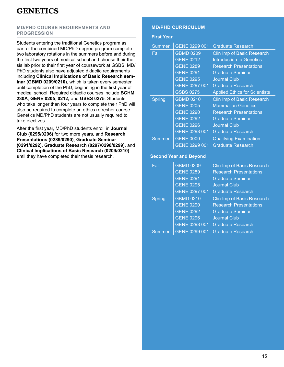### **MD/PHD COURSE REQUIREMENTS AND PROGRESSION**

Students entering the traditional Genetics program as part of the combined MD/PhD degree program complete two laboratory rotations in the summers before and during the first two years of medical school and choose their thesis lab prior to their first year of coursework at GSBS. MD/ PhD students also have adjusted didactic requirements including **Clinical Implications of Basic Research seminar (GBMD 0209/0210)**, which is taken every semester until completion of the PhD, beginning in the first year of medical school. Required didactic courses include **BCHM 230A**; **GENE 0205**, **0212;** and **GSBS 0275**. Students who take longer than four years to complete their PhD will also be required to complete an ethics refresher course. Genetics MD/PhD students are not usually required to take electives.

After the first year, MD/PhD students enroll in **Journal Club (0295/0296)** for two more years, and **Research Presentations (0289/0290)**, **Graduate Seminar (0291/0292)**, **Graduate Research (0297/0298/0299)**, and **Clinical Implications of Basic Research (0209/0210) u**ntil they have completed their thesis research.

### **MD/PHD CURRICULUM**

#### **First Year**

| <b>Summer</b> | GENE 0299 001    | <b>Graduate Research</b>             |
|---------------|------------------|--------------------------------------|
| Fall          | <b>GBMD 0209</b> | Clin Imp of Basic Research           |
|               | <b>GENE 0212</b> | Introduction to Genetics             |
|               | <b>GENE 0289</b> | <b>Research Presentations</b>        |
|               | <b>GENE 0291</b> | <b>Graduate Seminar</b>              |
|               | <b>GENE 0295</b> | <b>Journal Club</b>                  |
|               | GENE 0297 001    | <b>Graduate Research</b>             |
|               | <b>GSBS 0275</b> | <b>Applied Ethics for Scientists</b> |
| Spring        | <b>GBMD 0210</b> | Clin Imp of Basic Research           |
|               | <b>GENE 0205</b> | <b>Mammalian Genetics</b>            |
|               | <b>GENE 0290</b> | <b>Research Presentations</b>        |
|               | <b>GENE 0292</b> | <b>Graduate Seminar</b>              |
|               | <b>GENE 0296</b> | <b>Journal Club</b>                  |
|               |                  |                                      |
|               | GENE 0298 001    | <b>Graduate Research</b>             |
| <b>Summer</b> | <b>GENE 0000</b> | <b>Qualifying Examination</b>        |

#### **Second Year and Beyond**

| Fall          | <b>GBMD 0209</b> | Clin Imp of Basic Research    |
|---------------|------------------|-------------------------------|
|               | <b>GENE 0289</b> | <b>Research Presentations</b> |
|               | <b>GENE 0291</b> | <b>Graduate Seminar</b>       |
|               | <b>GENE 0295</b> | <b>Journal Club</b>           |
|               | GENE 0297 001    | <b>Graduate Research</b>      |
| <b>Spring</b> | <b>GBMD 0210</b> | Clin Imp of Basic Research    |
|               | <b>GENE 0290</b> | <b>Research Presentations</b> |
|               | <b>GENE 0292</b> | <b>Graduate Seminar</b>       |
|               | <b>GENE 0296</b> | <b>Journal Club</b>           |
|               | GENE 0298 001    | <b>Graduate Research</b>      |
| Summer        | GENE 0299 001    | <b>Graduate Research</b>      |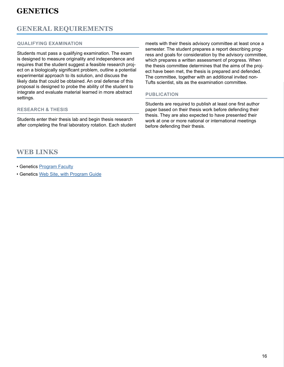### **GENERAL REQUIREMENTS**

### **QUALIFYING EXAMINATION**

Students must pass a qualifying examination. The exam is designed to measure originality and independence and requires that the student suggest a feasible research project on a biologically significant problem, outline a potential experimental approach to its solution, and discuss the likely data that could be obtained. An oral defense of this proposal is designed to probe the ability of the student to integrate and evaluate material learned in more abstract settings.

### **RESEARCH & THESIS**

Students enter their thesis lab and begin thesis research after completing the final laboratory rotation. Each student meets with their thesis advisory committee at least once a semester. The student prepares a report describing progress and goals for consideration by the advisory committee, which prepares a written assessment of progress. When the thesis committee determines that the aims of the project have been met, the thesis is prepared and defended. The committee, together with an additional invited non-Tufts scientist, sits as the examination committee.

### **PUBLICATION**

Students are required to publish at least one first author paper based on their thesis work before defending their thesis. They are also expected to have presented their work at one or more national or international meetings before defending their thesis.

### **WEB LINKS**

- Genetics [Program Faculty](https://gsbs.tufts.edu/academics/genetics/faculty)
- Genetics [Web Site, with Program Guide](https://gsbs.tufts.edu/academics/genetics)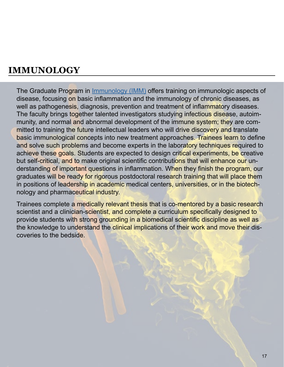<span id="page-16-0"></span>The Graduate Program in [Immunology \(IMM\)](https://gsbs.tufts.edu/academics/immunology) offers training on immunologic aspects of disease, focusing on basic inflammation and the immunology of chronic diseases, as well as pathogenesis, diagnosis, prevention and treatment of inflammatory diseases. The faculty brings together talented investigators studying infectious disease, autoimmunity, and normal and abnormal development of the immune system; they are committed to training the future intellectual leaders who will drive discovery and translate basic immunological concepts into new treatment approaches. Trainees learn to define and solve such problems and become experts in the laboratory techniques required to achieve these goals. Students are expected to design critical experiments, be creative but self-critical, and to make original scientific contributions that will enhance our understanding of important questions in inflammation. When they finish the program, our graduates will be ready for rigorous postdoctoral research training that will place them in positions of leadership in academic medical centers, universities, or in the biotechnology and pharmaceutical industry.

Trainees complete a medically relevant thesis that is co-mentored by a basic research scientist and a clinician-scientist, and complete a curriculum specifically designed to provide students with strong grounding in a biomedical scientific discipline as well as the knowledge to understand the clinical implications of their work and move their discoveries to the bedside.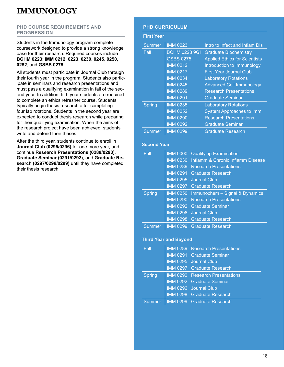### **PHD COURSE REQUIREMENTS AND PROGRESSION**

Students in the Immunology program complete coursework designed to provide a strong knowledge base for their research. Required courses include **BCHM 0223**; **IMM 0212**, **0223**, **0230**, **0245**, **0250, 0252**; and **GSBS 0275**.

All students must participate in Journal Club through their fourth year in the program. Students also participate in seminars and research presentations and must pass a qualifying examination in fall of the second year. In addition, fifth year students are required to complete an ethics refresher course. Students typically begin thesis research after completing four lab rotations. Students in the second year are expected to conduct thesis research while preparing for their qualifying examination. When the aims of the research project have been achieved, students write and defend their theses.

After the third year, students continue to enroll in **Journal Club (0295/0296)** for one more year, and continue **Research Presentations (0289/0290)**, **Graduate Seminar (0291/0292)**, and **Graduate Research (0297/0298/0299)** until they have completed their thesis research.

### **PHD CURRICULUM**

#### **First Year**

| <b>Summer</b> | <b>IMM 0223</b>      | Intro to Infect and Inflam Dis       |
|---------------|----------------------|--------------------------------------|
| Fall          | <b>BCHM 0223 9GI</b> | <b>Graduate Biochemistry</b>         |
|               | <b>GSBS 0275</b>     | <b>Applied Ethics for Scientists</b> |
|               | <b>IMM 0212</b>      | Introduction to Immunology           |
|               | <b>IMM 0217</b>      | <b>First Year Journal Club</b>       |
|               | <b>IMM 0234</b>      | <b>Laboratory Rotations</b>          |
|               | <b>IMM 0245</b>      | <b>Advanced Cell Immunology</b>      |
|               | <b>IMM 0289</b>      | <b>Research Presentations</b>        |
|               | <b>IMM 0291</b>      | <b>Graduate Seminar</b>              |
| <b>Spring</b> | <b>IMM 0235</b>      | <b>Laboratory Rotations</b>          |
|               | <b>IMM 0252</b>      | <b>System Approaches to Imm</b>      |
|               | <b>IMM 0290</b>      | <b>Research Presentations</b>        |
|               | <b>IMM 0292</b>      | <b>Graduate Seminar</b>              |
| <b>Summer</b> | <b>IMM 0299</b>      | <b>Graduate Research</b>             |

### **Second Year**

| Fall          | <b>IMM 0000</b> | <b>Qualifying Examination</b>          |
|---------------|-----------------|----------------------------------------|
|               | <b>IMM 0230</b> | Inflamm & Chronic Inflamm Disease      |
|               | <b>IMM 0289</b> | <b>Research Presentations</b>          |
|               | <b>IMM 0291</b> | <b>Graduate Research</b>               |
|               |                 | IMM 0295 Journal Club                  |
|               |                 | IMM 0297 Graduate Research             |
|               |                 |                                        |
| <b>Spring</b> | <b>IMM 0250</b> | Immunochem - Signal & Dynamics         |
|               |                 | <b>IMM 0290</b> Research Presentations |
|               |                 | IMM 0292 Graduate Seminar              |
|               | <b>IMM 0296</b> | Journal Club                           |
|               |                 | IMM 0298 Graduate Research             |

### **Third Year and Beyond**

| Fall          | IMM 0289 Research Presentations        |
|---------------|----------------------------------------|
|               | IMM 0291 Graduate Seminar              |
|               | IMM 0295 Journal Club                  |
|               | IMM 0297 Graduate Research             |
| <b>Spring</b> | <b>IMM 0290 Research Presentations</b> |
|               | <b>IMM 0292 Graduate Seminar</b>       |
|               | IMM 0296 Journal Club                  |
|               | IMM 0298 Graduate Research             |
| <b>Summer</b> | IMM 0299 Graduate Research             |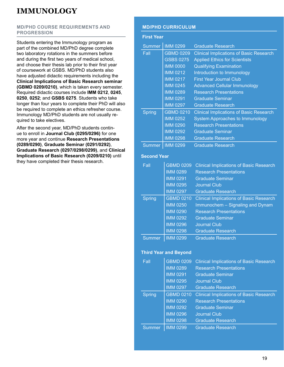### **MD/PHD COURSE REQUIREMENTS AND PROGRESSION**

Students entering the Immunology program as part of the combined MD/PhD degree complete two laboratory rotations in the summers before and during the first two years of medical school, and choose their thesis lab prior to their first year of coursework at GSBS. MD/PhD students also have adjusted didactic requirements including the **Clinical Implications of Basic Research seminar (GBMD 0209/0210)**, which is taken every semester. Required didactic courses include **IMM 0212**, **0245**, **0250**, **0252**; and **GSBS 0275**. Students who take longer than four years to complete their PhD will also be required to complete an ethics refresher course. Immunology MD/PhD students are not usually required to take electives.

After the second year, MD/PhD students continue to enroll in **Journal Club (0295/0296)** for one more year and continue **Research Presentations (0289/0290)**, **Graduate Seminar (0291/0292)**, **Graduate Research (0297/0298/0299)**, and **Clinical Implications of Basic Research (0209/0210)** until they have completed their thesis research.

### **MD/PHD CURRICULUM**

| <b>First Year</b>  |                              |                                                |
|--------------------|------------------------------|------------------------------------------------|
| <b>Summer</b>      | <b>IMM 0299</b>              | <b>Graduate Research</b>                       |
| Fall               | <b>GBMD 0209</b>             | <b>Clinical Implications of Basic Research</b> |
|                    | <b>GSBS 0275</b>             | <b>Applied Ethics for Scientists</b>           |
|                    | <b>IMM 0000</b>              | <b>Qualifying Examination</b>                  |
|                    | <b>IMM 0212</b>              | Introduction to Immunology                     |
|                    | <b>IMM 0217</b>              | <b>First Year Journal Club</b>                 |
|                    | <b>IMM 0245</b>              | <b>Advanced Cellular Immunology</b>            |
|                    | <b>IMM 0289</b>              | <b>Research Presentations</b>                  |
|                    | <b>IMM 0291</b>              | <b>Graduate Seminar</b>                        |
|                    | <b>IMM 0297</b>              | <b>Graduate Research</b>                       |
| <b>Spring</b>      | <b>GBMD 0210</b>             | <b>Clinical Implications of Basic Research</b> |
|                    | <b>IMM 0252</b>              | <b>System Approaches to Immunology</b>         |
|                    | <b>IMM 0290</b>              | <b>Research Presentations</b>                  |
|                    | <b>IMM 0292</b>              | <b>Graduate Seminar</b>                        |
|                    | <b>IMM 0298</b>              | <b>Graduate Research</b>                       |
| <b>Summer</b>      | <b>IMM 0299</b>              | <b>Graduate Research</b>                       |
| <b>Second Year</b> |                              |                                                |
| Fall               | <b>GBMD 0209</b>             | <b>Clinical Implications of Basic Research</b> |
|                    | <b>IMM 0289</b>              | <b>Research Presentations</b>                  |
|                    | <b>IMM 0291</b>              | <b>Graduate Seminar</b>                        |
|                    | <b>IMM 0295</b>              | <b>Journal Club</b>                            |
|                    | <b>IMM 0297</b>              | <b>Graduate Research</b>                       |
| <b>Spring</b>      | <b>GBMD 0210</b>             | <b>Clinical Implications of Basic Research</b> |
|                    | <b>IMM 0250</b>              | Immunochem - Signaling and Dynam               |
|                    | <b>IMM 0290</b>              | <b>Research Presentations</b>                  |
|                    | <b>IMM 0292</b>              | <b>Graduate Seminar</b>                        |
|                    | <b>IMM 0296</b>              | <b>Journal Club</b>                            |
|                    | <b>IMM 0298</b>              | <b>Graduate Research</b>                       |
| <b>Summer</b>      | <b>IMM 0299</b>              | <b>Graduate Research</b>                       |
|                    | <b>Third Year and Revond</b> |                                                |

### **Third Year and Beyond**

| Fall          | <b>GBMD 0209</b> | <b>Clinical Implications of Basic Research</b> |
|---------------|------------------|------------------------------------------------|
|               | <b>IMM 0289</b>  | <b>Research Presentations</b>                  |
|               | <b>IMM 0291</b>  | <b>Graduate Seminar</b>                        |
|               | <b>IMM 0295</b>  | Journal Club                                   |
|               | <b>IMM 0297</b>  | <b>Graduate Research</b>                       |
| <b>Spring</b> | <b>GBMD 0210</b> | <b>Clinical Implications of Basic Research</b> |
|               | <b>IMM 0290</b>  | <b>Research Presentations</b>                  |
|               | <b>IMM 0292</b>  | <b>Graduate Seminar</b>                        |
|               | <b>IMM 0296</b>  | <b>Journal Club</b>                            |
|               | <b>IMM 0298</b>  | <b>Graduate Research</b>                       |
| Summer        | <b>IMM 0299</b>  | <b>Graduate Research</b>                       |
|               |                  |                                                |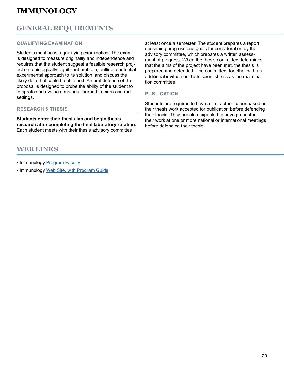### **GENERAL REQUIREMENTS**

### **QUALIFYING EXAMINATION**

Students must pass a qualifying examination. The exam is designed to measure originality and independence and requires that the student suggest a feasible research project on a biologically significant problem, outline a potential experimental approach to its solution, and discuss the likely data that could be obtained. An oral defense of this proposal is designed to probe the ability of the student to integrate and evaluate material learned in more abstract settings.

### **RESEARCH & THESIS**

**Students enter their thesis lab and begin thesis research after completing the final laboratory rotation.**  Each student meets with their thesis advisory committee

### **WEB LINKS**

- Immunology [Program Faculty](https://gsbs.tufts.edu/academics/immunology/faculty)
- Immunology [Web Site, with Program Guide](https://gsbs.tufts.edu/academics/immunology)

at least once a semester. The student prepares a report describing progress and goals for consideration by the advisory committee, which prepares a written assessment of progress. When the thesis committee determines that the aims of the project have been met, the thesis is prepared and defended. The committee, together with an additional invited non-Tufts scientist, sits as the examination committee.

### **PUBLICATION**

Students are required to have a first author paper based on their thesis work accepted for publication before defending their thesis. They are also expected to have presented their work at one or more national or international meetings before defending their thesis.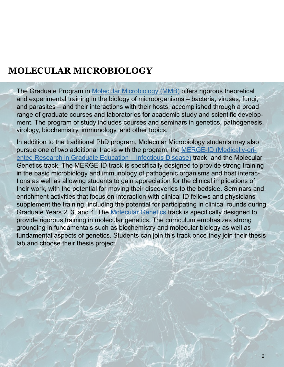# <span id="page-20-0"></span>**MOLECULAR MICROBIOLOGY**

The Graduate Program in [Molecular Microbiology \(MMB\)](https://gsbs.tufts.edu/academics/molecularMicrobiology) offers rigorous theoretical and experimental training in the biology of microorganisms – bacteria, viruses, fungi, and parasites – and their interactions with their hosts, accomplished through a broad range of graduate courses and laboratories for academic study and scientific development. The program of study includes courses and seminars in genetics, pathogenesis, virology, biochemistry, immunology, and other topics.

In addition to the traditional PhD program, Molecular Microbiology students may also pursue one of two additional tracks with the program, the [MERGE-ID \(Medically-ori](https://gsbs.tufts.edu/academics/molecular-microbiology/special-tracks)[ented Research in Graduate Education – Infectious Disease\)](https://gsbs.tufts.edu/academics/molecular-microbiology/special-tracks) track, and the Molecular Genetics track. The MERGE-ID track is specifically designed to provide strong training in the basic microbiology and immunology of pathogenic organisms and host interactions as well as allowing students to gain appreciation for the clinical implications of their work, with the potential for moving their discoveries to the bedside. Seminars and enrichment activities that focus on interaction with clinical ID fellows and physicians supplement the training, including the potential for participating in clinical rounds during Graduate Years 2, 3, and 4. The [Molecular Genetics](https://gsbs.tufts.edu/academics/molecular-microbiology/special-tracks) track is specifically designed to provide rigorous training in molecular genetics. The curriculum emphasizes strong grounding in fundamentals such as biochemistry and molecular biology as well as fundamental aspects of genetics. Students can join this track once they join their thesis lab and choose their thesis project.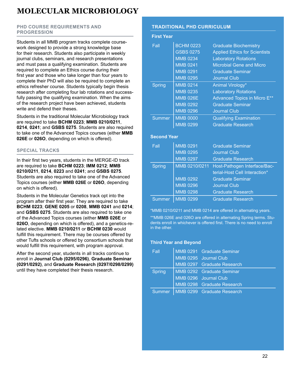### <span id="page-21-0"></span>**MOLECULAR MICROBIOLOGY**

### **PHD COURSE REQUIREMENTS AND PROGRESSION**

Students in all MMB program tracks complete coursework designed to provide a strong knowledge base for their research. Students also participate in weekly journal clubs, seminars, and research presentations and must pass a qualifying examination. Students are required to complete an Ethics course during their first year and those who take longer than four years to complete their PhD will also be required to complete an ethics refresher course. Students typically begin thesis research after completing four lab rotations and successfully passing the qualifying examination. When the aims of the research project have been achieved, students write and defend their theses.

Students in the traditional Molecular Microbiology track are required to take **BCHM 0223**; **MMB 0210/0211**, **0214**, **0241**; and **GSBS 0275**. Students are also required to take one of the Advanced Topics courses (either **MMB 026E** or **026O**, depending on which is offered).

### **SPECIAL TRACKS**

In their first two years, students in the MERGE-ID track are required to take **BCHM 0223**; **IMM 0212**; **MMB 0210/0211**, **0214**, **0223** and **0241**; and **GSBS 0275**. Students are also required to take one of the Advanced Topics courses (either **MMB 026E** or **026O**, depending on which is offered).

Students in the Molecular Genetics track opt into the program after their first year. They are required to take **BCHM 0223**; **GENE 0205** or **0208**, **MMB 0241** and **0214**; and **GSBS 0275**. Students are also required to take one of the Advanced Topics courses (either **MMB 026E** or **026O**, depending on which is offered), and a genetics-related elective. **MMB 0210/0211** or **BCHM 0230** would fulfill this requirement. There may be courses offered by other Tufts schools or offered by consortium schools that would fulfill this requirement, with program approval.

After the second year, students in all tracks continue to enroll in **Journal Club (0295/0296)**, **Graduate Seminar (0291/0292)**, and **Graduate Research (0297/0298/0299)** until they have completed their thesis research.

### **TRADITIONAL PHD CURRICULUM**

### **First Year**

| Fall          | <b>BCHM 0223</b> | <b>Graduate Biochemistry</b>         |
|---------------|------------------|--------------------------------------|
|               | <b>GSBS 0275</b> | <b>Applied Ethics for Scientists</b> |
|               | <b>MMB 0234</b>  | <b>Laboratory Rotations</b>          |
|               | <b>MMB 0241</b>  | <b>Microbial Gene and Micro</b>      |
|               | <b>MMB 0291</b>  | <b>Graduate Seminar</b>              |
|               | <b>MMB 0295</b>  | <b>Journal Club</b>                  |
| <b>Spring</b> | <b>MMB 0214</b>  | Animal Virology*                     |
|               | <b>MMB 0235</b>  | <b>Laboratory Rotations</b>          |
|               | <b>MMB 026E</b>  | Advanced Topics in Micro E**         |
|               | <b>MMB 0292</b>  | <b>Graduate Seminar</b>              |
|               | <b>MMB 0296</b>  | <b>Journal Club</b>                  |
| <b>Summer</b> | <b>MMB 0000</b>  | <b>Qualifying Examination</b>        |
|               | <b>MMB 0299</b>  | <b>Graduate Research</b>             |

### **Second Year**

| Fall          | <b>MMB 0291</b><br><b>MMB 0295</b><br><b>MMB 0297</b> | <b>Graduate Seminar</b><br><b>Journal Club</b><br><b>Graduate Research</b> |
|---------------|-------------------------------------------------------|----------------------------------------------------------------------------|
| <b>Spring</b> | MMB 0210/0211                                         | Host-Pathogen Interface/Bac-                                               |
|               |                                                       | terial-Host Cell Interaction*                                              |
|               | <b>MMB 0292</b>                                       | <b>Graduate Seminar</b>                                                    |
|               | <b>MMB 0296</b>                                       | <b>Journal Club</b>                                                        |
|               | <b>MMB 0298</b>                                       | <b>Graduate Research</b>                                                   |
| <b>Summer</b> | <b>MMB 0299</b>                                       | <b>Graduate Research</b>                                                   |

\*MMB 0210/0211 and MMB 0214 are offered in alternating years.

\*\*MMB 026E and 026O are offered in alternating Spring terms. Students enroll in whichever is offered first. There is no need to enroll in the other.

### **Third Year and Beyond**

| <b>Fall</b>   | MMB 0291 Graduate Seminar           |
|---------------|-------------------------------------|
|               | MMB 0295 Journal Club               |
|               | MMB 0297 Graduate Research          |
| <b>Spring</b> | MMB 0292 Graduate Seminar           |
|               | MMB 0296 Journal Club               |
|               | MMB 0298 Graduate Research          |
|               | Summer   MMB 0299 Graduate Research |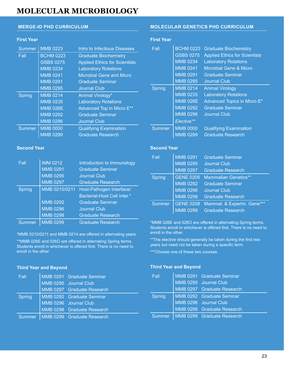### **MOLECULAR MICROBIOLOGY MOLECULAR MICROBIOLOGY**

### **First Year**

| <b>Summer</b> | <b>MMB 0223</b>  | Intro to Infectious Diseases         |
|---------------|------------------|--------------------------------------|
| Fall          | <b>BCHM 0223</b> | <b>Graduate Biochemistry</b>         |
|               | <b>GSBS 0275</b> | <b>Applied Ethics for Scientists</b> |
|               | <b>MMB 0234</b>  | <b>Laboratory Rotations</b>          |
|               | <b>MMB 0241</b>  | <b>Microbial Gene and Micro</b>      |
|               | <b>MMB 0291</b>  | <b>Graduate Seminar</b>              |
|               | <b>MMB 0295</b>  | <b>Journal Club</b>                  |
|               |                  |                                      |
| Spring        | <b>MMB 0214</b>  | Animal Virology*                     |
|               | <b>MMB 0235</b>  | <b>Laboratory Rotations</b>          |
|               | <b>MMB 026E</b>  | Advanced Top in Micro E**            |
|               | <b>MMB 0292</b>  | <b>Graduate Seminar</b>              |
|               | <b>MMB 0296</b>  | Journal Club                         |
| <b>Summer</b> | <b>MMB 0000</b>  | <b>Qualifying Examination</b>        |

#### **Second Year**

| Fall          | <b>IMM 0212</b> | Introduction to Immunology  |
|---------------|-----------------|-----------------------------|
|               | <b>MMB 0291</b> | <b>Graduate Seminar</b>     |
|               | <b>MMB 0295</b> | <b>Journal Club</b>         |
|               | <b>MMB 0297</b> | <b>Graduate Research</b>    |
| <b>Spring</b> | MMB 0210/0211   | Host-Pathogen Interface/    |
|               |                 | Bacterial-Host Cell Inter.* |
|               | <b>MMB 0292</b> | <b>Graduate Seminar</b>     |
|               | <b>MMB 0296</b> | <b>Journal Club</b>         |
|               | <b>MMB 0298</b> | <b>Graduate Research</b>    |
| Summer        | <b>MMB 0299</b> | <b>Graduate Research</b>    |

\*MMB 0210/0211 and MMB 0214 are offered in alternating years.

\*\*MMB 026E and 026O are offered in alternating Spring terms. Students enroll in whichever is offered first. There is no need to enroll in the other.

#### **Third Year and Beyond**

| Fall   | MMB 0291 Graduate Seminar           |
|--------|-------------------------------------|
|        | MMB 0295 Journal Club               |
|        | MMB 0297 Graduate Research          |
| Spring | MMB 0292 Graduate Seminar           |
|        | MMB 0296 Journal Club               |
|        | MMB 0298 Graduate Research          |
|        | Summer   MMB 0299 Graduate Research |

### **MERGE-ID PHD CURRICULUM MOLECULAR GENETICS PHD CURRICULUM**

### **First Year**

| Fall   | <b>BCHM 0223</b> | <b>Graduate Biochemistry</b>         |
|--------|------------------|--------------------------------------|
|        | <b>GSBS 0275</b> | <b>Applied Ethics for Scientists</b> |
|        | <b>MMB 0234</b>  | <b>Laboratory Rotations</b>          |
|        | <b>MMB 0241</b>  | Microbial Gene & Micro               |
|        | <b>MMB 0291</b>  | <b>Graduate Seminar</b>              |
|        | <b>MMB 0295</b>  | <b>Journal Club</b>                  |
| Spring | <b>MMB 0214</b>  | <b>Animal Virology</b>               |
|        | <b>MMB 0235</b>  | <b>Laboratory Rotations</b>          |
|        | <b>MMB 026E</b>  | Advanced Topics in Micro E*          |
|        | <b>MMB 0292</b>  | <b>Graduate Seminar</b>              |
|        | <b>MMB 0296</b>  | <b>Journal Club</b>                  |
|        | Elective**       |                                      |
| Summer | <b>MMB 0000</b>  | <b>Qualifying Examination</b>        |
|        | <b>MMB 0299</b>  | <b>Graduate Research</b>             |

#### **Second Year**

| Fall          | <b>MMB 0291</b>  | <b>Graduate Seminar</b>     |
|---------------|------------------|-----------------------------|
|               | <b>MMB 0295</b>  | <b>Journal Club</b>         |
|               | <b>MMB 0297</b>  | <b>Graduate Research</b>    |
| Spring        | <b>GENE 0205</b> | <b>Mammalian Genetics**</b> |
|               | <b>MMB 0292</b>  | <b>Graduate Seminar</b>     |
|               | <b>MMB 0296</b>  | <b>Journal Club</b>         |
|               | <b>MMB 0298</b>  | <b>Graduate Research</b>    |
| <b>Summer</b> | <b>GENE 0208</b> | Mammal. & Experim. Gene***  |
|               | <b>MMB 0299</b>  | <b>Graduate Research</b>    |

\*MMB 026E and 026O are offered in alternating Spring terms. Students enroll in whichever is offered first. There is no need to enroll in the other.

\*\*The elective should generally be taken during the first two years but need not be taken during a specific term.

\*\*\*Choose one of these two courses.

#### **Third Year and Beyond**

| Fall   | MMB 0291 Graduate Seminar           |
|--------|-------------------------------------|
|        | MMB 0295 Journal Club               |
|        | MMB 0297 Graduate Research          |
| Spring | MMB 0292 Graduate Seminar           |
|        | MMB 0296 Journal Club               |
|        | MMB 0298 Graduate Research          |
|        | Summer   MMB 0299 Graduate Research |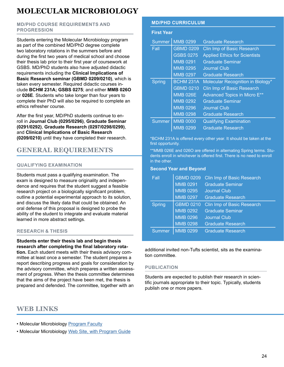### **MOLECULAR MICROBIOLOGY**

### **MD/PHD COURSE REQUIREMENTS AND PROGRESSION**

Students entering the Molecular Microbiology program as part of the combined MD/PhD degree complete two laboratory rotations in the summers before and during the first two years of medical school and choose their thesis lab prior to their first year of coursework at GSBS. MD/PhD students also have adjusted didactic requirements including the **Clinical Implications of Basic Research seminar (GBMD 0209/0210)**, which is taken every semester. Required didactic courses include **BCHM 231A; GSBS 0275**; and either **MMB 026O** or **026E**. Students who take longer than four years to complete their PhD will also be required to complete an ethics refresher course.

After the first year, MD/PhD students continue to enroll in **Journal Club (0295/0296)**, **Graduate Seminar (0291/0292)**, **Graduate Research (0297/0298/0299)**, and **Clinical Implications of Basic Research (0209/0210)** until they have completed their research.

### **GENERAL REQUIREMENTS**

### **QUALIFYING EXAMINATION**

Students must pass a qualifying examination. The exam is designed to measure originality and independence and requires that the student suggest a feasible research project on a biologically significant problem, outline a potential experimental approach to its solution, and discuss the likely data that could be obtained. An oral defense of this proposal is designed to probe the ability of the student to integrate and evaluate material learned in more abstract settings.

### **RESEARCH & THESIS**

### **Students enter their thesis lab and begin thesis research after completing the final laboratory rota-**

**tion.** Each student meets with their thesis advisory committee at least once a semester. The student prepares a report describing progress and goals for consideration by the advisory committee, which prepares a written assessment of progress. When the thesis committee determines that the aims of the project have been met, the thesis is prepared and defended. The committee, together with an

### **WEB LINKS**

• Molecular Microbiology [Program Faculty](https://gsbs.tufts.edu/academics/molecularMicrobiology/faculty)

• Molecular Microbiology [Web Site, with Program Guide](https://gsbs.tufts.edu/academics/molecularMicrobiology)

### **MD/PHD CURRICULUM**

### **First Year**

| Summer        | <b>MMB 0299</b>  | <b>Graduate Research</b>             |
|---------------|------------------|--------------------------------------|
| Fall          | <b>GBMD 0209</b> | Clin Imp of Basic Research           |
|               | <b>GSBS 0275</b> | <b>Applied Ethics for Scientists</b> |
|               | <b>MMB 0291</b>  | <b>Graduate Seminar</b>              |
|               | <b>MMB 0295</b>  | <b>Journal Club</b>                  |
|               | <b>MMB 0297</b>  | <b>Graduate Research</b>             |
| Spring        | <b>BCHM 231A</b> | Molecular Recognition in Biology*    |
|               | <b>GBMD 0210</b> | <b>Clin Imp of Basic Research</b>    |
|               | <b>MMB 026E</b>  | Advanced Topics in Micro E**         |
|               | <b>MMB 0292</b>  | <b>Graduate Seminar</b>              |
|               | <b>MMB 0296</b>  | <b>Journal Club</b>                  |
|               | <b>MMB 0298</b>  | <b>Graduate Research</b>             |
| <b>Summer</b> | <b>MMB 0000</b>  | <b>Qualifying Examination</b>        |
|               | <b>MMB 0299</b>  | <b>Graduate Research</b>             |

\*BCHM 231A is offered every other year. It should be taken at the first opportunity.

\*\*MMB 026E and 026O are offered in alternating Spring terms. Students enroll in whichever is offered first. There is no need to enroll in the other.

### **Second Year and Beyond**

| Fall          | <b>GBMD 0209</b><br><b>MMB 0291</b><br><b>MMB 0295</b><br><b>MMB 0297</b> | <b>Clin Imp of Basic Research</b><br><b>Graduate Seminar</b><br><b>Journal Club</b><br><b>Graduate Research</b> |
|---------------|---------------------------------------------------------------------------|-----------------------------------------------------------------------------------------------------------------|
| <b>Spring</b> | <b>GBMD 0210</b><br><b>MMB 0292</b><br><b>MMB 0296</b><br><b>MMB 0298</b> | <b>Clin Imp of Basic Research</b><br><b>Graduate Seminar</b><br><b>Journal Club</b><br><b>Graduate Research</b> |
| <b>Summer</b> | <b>MMB 0299</b>                                                           | <b>Graduate Research</b>                                                                                        |

additional invited non-Tufts scientist, sits as the examination committee.

### **PUBLICATION**

Students are expected to publish their research in scientific journals appropriate to their topic. Typically, students publish one or more papers.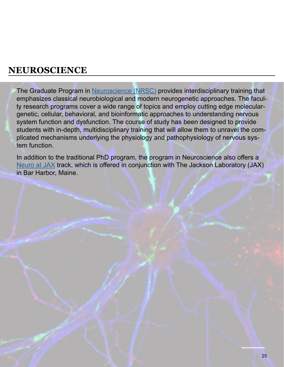<span id="page-24-0"></span>The Graduate Program in [Neuroscience \(NRSC\)](https://gsbs.tufts.edu/academics/neuroscience) provides interdisciplinary training that emphasizes classical neurobiological and modern neurogenetic approaches. The faculty research programs cover a wide range of topics and employ cutting edge moleculargenetic, cellular, behavioral, and bioinformatic approaches to understanding nervous system function and dysfunction. The course of study has been designed to provide students with in-depth, multidisciplinary training that will allow them to unravel the complicated mechanisms underlying the physiology and pathophysiology of nervous system function.

In addition to the traditional PhD program, the program in Neuroscience also offers a [Neuro at JAX](https://gsbs.tufts.edu/academics/neuro-jax) track, which is offered in conjunction with The Jackson Laboratory (JAX) in Bar Harbor, Maine.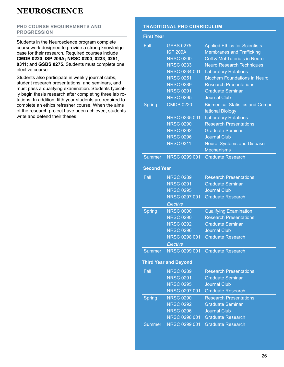### <span id="page-25-0"></span>**PHD COURSE REQUIREMENTS AND PROGRESSION**

Students in the Neuroscience program complete coursework designed to provide a strong knowledge base for their research. Required courses include **CMDB 0220**; **ISP 209A; NRSC 0200**, **0233**, **0251**, **0311**; and **GSBS 0275**. Students must complete one elective course.

Students also participate in weekly journal clubs, student research presentations, and seminars, and must pass a qualifying examination. Students typically begin thesis research after completing three lab rotations. In addition, fifth year students are required to complete an ethics refresher course. When the aims of the research project have been achieved, students write and defend their theses.

### **TRADITIONAL PHD CURRICULUM**

#### **First Year**

| Fall               | GSBS 0275                    | <b>Applied Ethics for Scientists</b>    |
|--------------------|------------------------------|-----------------------------------------|
|                    | <b>ISP 209A</b>              | <b>Membranes and Trafficking</b>        |
|                    | <b>NRSC 0200</b>             | Cell & Mol Tutorials in Neuro           |
|                    | <b>NRSC 0233</b>             | <b>Neuro Research Techniques</b>        |
|                    | NRSC 0234 001                | <b>Laboratory Rotations</b>             |
|                    | <b>NRSC 0251</b>             | <b>Biochem Foundations in Neuro</b>     |
|                    | <b>NRSC 0289</b>             | <b>Research Presentations</b>           |
|                    | <b>NRSC 0291</b>             | <b>Graduate Seminar</b>                 |
|                    | <b>NRSC 0295</b>             | <b>Journal Club</b>                     |
| <b>Spring</b>      | <b>CMDB 0220</b>             | <b>Biomedical Statistics and Compu-</b> |
|                    |                              | tational Biology                        |
|                    | NRSC 0235 001                | <b>Laboratory Rotations</b>             |
|                    | <b>NRSC 0290</b>             | <b>Research Presentations</b>           |
|                    | <b>NRSC 0292</b>             | <b>Graduate Seminar</b>                 |
|                    | <b>NRSC 0296</b>             | <b>Journal Club</b>                     |
|                    | <b>NRSC 0311</b>             | <b>Neural Systems and Disease</b>       |
|                    |                              | <b>Mechanisms</b>                       |
| <b>Summer</b>      | NRSC 0299 001                | <b>Graduate Research</b>                |
|                    |                              |                                         |
| <b>Second Year</b> |                              |                                         |
| Fall               | <b>NRSC 0289</b>             | <b>Research Presentations</b>           |
|                    | <b>NRSC 0291</b>             | <b>Graduate Seminar</b>                 |
|                    | <b>NRSC 0295</b>             | <b>Journal Club</b>                     |
|                    | NRSC 0297 001                | <b>Graduate Research</b>                |
|                    | Elective                     |                                         |
| <b>Spring</b>      | <b>NRSC 0000</b>             | <b>Qualifying Examination</b>           |
|                    | <b>NRSC 0290</b>             | <b>Research Presentations</b>           |
|                    | <b>NRSC 0292</b>             | <b>Graduate Seminar</b>                 |
|                    | <b>NRSC 0296</b>             | <b>Journal Club</b>                     |
|                    | NRSC 0298 001                | <b>Graduate Research</b>                |
|                    | Elective                     |                                         |
| <b>Summer</b>      |                              | NRSC 0299 001 Graduate Research         |
|                    |                              |                                         |
|                    | <b>Third Year and Beyond</b> |                                         |
| Fall               | <b>NRSC 0289</b>             | <b>Research Presentations</b>           |
|                    | <b>NRSC 0291</b>             | <b>Graduate Seminar</b>                 |
|                    | <b>NRSC 0295</b>             | <b>Journal Club</b>                     |
|                    | NRSC 0297 001                | <b>Graduate Research</b>                |
| <b>Spring</b>      | <b>NRSC 0290</b>             | <b>Research Presentations</b>           |
|                    | <b>NRSC 0292</b>             | <b>Graduate Seminar</b>                 |
|                    | <b>NRSC 0296</b>             | <b>Journal Club</b>                     |
|                    | NRSC 0298 001                | <b>Graduate Research</b>                |
| <b>Summer</b>      | NRSC 0299 001                | <b>Graduate Research</b>                |
|                    |                              |                                         |
|                    |                              |                                         |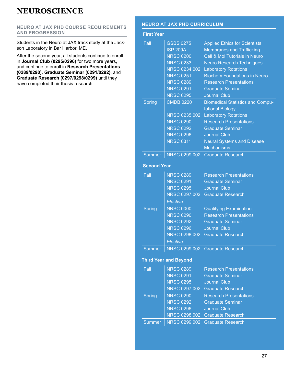### <span id="page-26-0"></span>**NEURO AT JAX PHD COURSE REQUIREMENTS AND PROGRESSION**

Students in the Neuro at JAX track study at the Jackson Laboratory in Bar Harbor, ME.

After the second year, all students continue to enroll in **Journal Club (0295/0296)** for two more years, and continue to enroll in **Research Presentations (0289/0290)**, **Graduate Seminar (0291/0292)**, and **Graduate Research (0297/0298/0299)** until they have completed their thesis research.

### **NEURO AT JAX PHD CURRICULUM**

### **First Year**

| Fall               | <b>GSBS 0275</b>             | <b>Applied Ethics for Scientists</b>     |
|--------------------|------------------------------|------------------------------------------|
|                    | <b>ISP 209A</b>              | <b>Membranes and Trafficking</b>         |
|                    | <b>NRSC 0200</b>             | Cell & Mol Tutorials in Neuro            |
|                    | <b>NRSC 0233</b>             | <b>Neuro Research Techniques</b>         |
|                    | NRSC 0234 002                | <b>Laboratory Rotations</b>              |
|                    | <b>NRSC 0251</b>             | <b>Biochem Foundations in Neuro</b>      |
|                    | <b>NRSC 0289</b>             | <b>Research Presentations</b>            |
|                    | <b>NRSC 0291</b>             | <b>Graduate Seminar</b>                  |
|                    | <b>NRSC 0295</b>             | <b>Journal Club</b>                      |
| <b>Spring</b>      | <b>CMDB 0220</b>             | <b>Biomedical Statistics and Compu-</b>  |
|                    |                              | tational Biology                         |
|                    | <b>NRSC 0235 002</b>         | <b>Laboratory Rotations</b>              |
|                    | <b>NRSC 0290</b>             | <b>Research Presentations</b>            |
|                    | <b>NRSC 0292</b>             | <b>Graduate Seminar</b>                  |
|                    | <b>NRSC 0296</b>             | <b>Journal Club</b>                      |
|                    | <b>NRSC 0311</b>             | <b>Neural Systems and Disease</b>        |
|                    |                              | <b>Mechanisms</b>                        |
| <b>Summer</b>      |                              | NRSC 0299 002 Graduate Research          |
|                    |                              |                                          |
| <b>Second Year</b> |                              |                                          |
| Fall               | <b>NRSC 0289</b>             | <b>Research Presentations</b>            |
|                    | <b>NRSC 0291</b>             | <b>Graduate Seminar</b>                  |
|                    | <b>NRSC 0295</b>             | <b>Journal Club</b>                      |
|                    |                              | NRSC 0297 002 Graduate Research          |
|                    | Elective                     |                                          |
| <b>Spring</b>      | <b>NRSC 0000</b>             | <b>Qualifying Examination</b>            |
|                    | <b>NRSC 0290</b>             | <b>Research Presentations</b>            |
|                    | <b>NRSC 0292</b>             | <b>Graduate Seminar</b>                  |
|                    | <b>NRSC 0296</b>             | <b>Journal Club</b>                      |
|                    | NRSC 0298 002                | <b>Graduate Research</b>                 |
|                    | Elective                     |                                          |
|                    |                              | Summer   NRSC 0299 002 Graduate Research |
|                    |                              |                                          |
|                    | <b>Third Year and Beyond</b> |                                          |
| Fall               | <b>NRSC 0289</b>             | <b>Research Presentations</b>            |
|                    | <b>NRSC 0291</b>             | <b>Graduate Seminar</b>                  |
|                    | <b>NRSC 0295</b>             | <b>Journal Club</b>                      |
|                    |                              | NRSC 0297 002 Graduate Research          |
| <b>Spring</b>      | <b>NRSC 0290</b>             | <b>Research Presentations</b>            |
|                    | <b>NRSC 0292</b>             | <b>Graduate Seminar</b>                  |
|                    | <b>NRSC 0296</b>             | <b>Journal Club</b>                      |
|                    |                              | NRSC 0298 002 Graduate Research          |
| <b>Summer</b>      | NRSC 0299 002                | <b>Graduate Research</b>                 |
|                    |                              |                                          |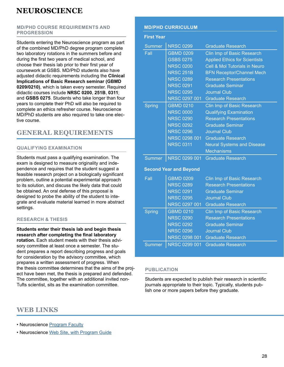### **MD/PHD COURSE REQUIREMENTS AND PROGRESSION**

Students entering the Neuroscience program as part of the combined MD/PhD degree program complete two laboratory rotations in the summers before and during the first two years of medical school, and choose their thesis lab prior to their first year of coursework at GSBS. MD/PhD students also have adjusted didactic requirements including the **Clinical Implications of Basic Research seminar (GBMD 0209/0210)**, which is taken every semester. Required didactic courses include **NRSC 0200**, **251B**, **0311**; and **GSBS 0275**. Students who take longer than four years to complete their PhD will also be required to complete an ethics refresher course. Neuroscience MD/PhD students are also required to take one elective course.

### **GENERAL REQUIREMENTS**

### **QUALIFYING EXAMINATION**

Students must pass a qualifying examination. The exam is designed to measure originality and independence and requires that the student suggest a feasible research project on a biologically significant problem, outline a potential experimental approach to its solution, and discuss the likely data that could be obtained. An oral defense of this proposal is designed to probe the ability of the student to integrate and evaluate material learned in more abstract settings.

### **RESEARCH & THESIS**

**Students enter their thesis lab and begin thesis research after completing the final laboratory rotation.** Each student meets with their thesis advisory committee at least once a semester. The student prepares a report describing progress and goals for consideration by the advisory committee, which prepares a written assessment of progress. When the thesis committee determines that the aims of the project have been met, the thesis is prepared and defended. The committee, together with an additional invited non-Tufts scientist, sits as the examination committee.

### **WEB LINKS**

• Neuroscience [Program Faculty](https://gsbs.tufts.edu/academics/neuroscience/faculty)

• Neuroscience [Web Site, with Program Guide](https://gsbs.tufts.edu/academics/neuroscience)

### **MD/PHD CURRICULUM**

| <b>First Year</b> |                               |                                      |
|-------------------|-------------------------------|--------------------------------------|
| <b>Summer</b>     | <b>NRSC 0299</b>              | <b>Graduate Research</b>             |
| Fall              | <b>GBMD 0209</b>              | Clin Imp of Basic Research           |
|                   | <b>GSBS 0275</b>              | <b>Applied Ethics for Scientists</b> |
|                   | <b>NRSC 0200</b>              | Cell & Mol Tutorials in Neuro        |
|                   | <b>NRSC 251B</b>              | <b>BFN Receptor/Channel Mech</b>     |
|                   | <b>NRSC 0289</b>              | <b>Research Presentations</b>        |
|                   | <b>NRSC 0291</b>              | <b>Graduate Seminar</b>              |
|                   | <b>NRSC 0295</b>              | <b>Journal Club</b>                  |
|                   | NRSC 0297 001                 | <b>Graduate Research</b>             |
| <b>Spring</b>     | <b>GBMD 0210</b>              | Clin Imp of Basic Research           |
|                   | <b>NRSC 0000</b>              | <b>Qualifying Examination</b>        |
|                   | <b>NRSC 0290</b>              | <b>Research Presentations</b>        |
|                   | <b>NRSC 0292</b>              | <b>Graduate Seminar</b>              |
|                   | <b>NRSC 0296</b>              | <b>Journal Club</b>                  |
|                   | NRSC 0298 001                 | <b>Graduate Research</b>             |
|                   | <b>NRSC 0311</b>              | <b>Neural Systems and Disease</b>    |
|                   |                               | <b>Mechanisms</b>                    |
| <b>Summer</b>     | NRSC 0299 001                 | <b>Graduate Research</b>             |
|                   | <b>Second Year and Beyond</b> |                                      |
| Fall              | <b>GBMD 0209</b>              | Clin Imp of Basic Research           |
|                   | <b>NRSC 0289</b>              | <b>Research Presentations</b>        |
|                   | <b>NRSC 0291</b>              | <b>Graduate Seminar</b>              |
|                   | <b>NRSC 0295</b>              | <b>Journal Club</b>                  |
|                   | NRSC 0297 001                 | <b>Graduate Research</b>             |
| <b>Spring</b>     | <b>GBMD 0210</b>              | Clin Imp of Basic Research           |
|                   | <b>NRSC 0290</b>              | <b>Research Presentations</b>        |
|                   | <b>NRSC 0292</b>              | <b>Graduate Seminar</b>              |
|                   | <b>NRSC 0296</b>              | Journal Club                         |

Summer NRSC 0299 001 Graduate Research

NRSC 0298 001

### **PUBLICATION**

Students are expected to publish their research in scientific journals appropriate to their topic. Typically, students publish one or more papers before they graduate.

Graduate Research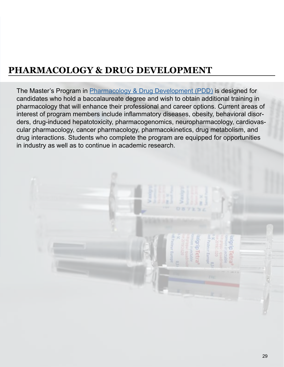# <span id="page-28-0"></span>**PHARMACOLOGY & DRUG DEVELOPMENT**

The Master's Program in [Pharmacology & Drug Development \(PDD\)](https://gsbs.tufts.edu/academics/PDD) is designed for candidates who hold a baccalaureate degree and wish to obtain additional training in pharmacology that will enhance their professional and career options. Current areas of interest of program members include inflammatory diseases, obesity, behavioral disorders, drug-induced hepatotoxicity, pharmacogenomics, neuropharmacology, cardiovascular pharmacology, cancer pharmacology, pharmacokinetics, drug metabolism, and drug interactions. Students who complete the program are equipped for opportunities in industry as well as to continue in academic research.

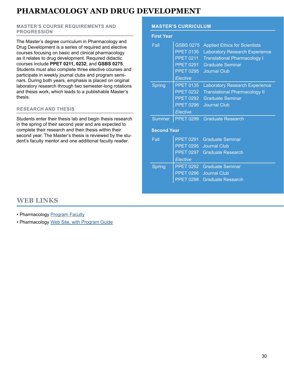### **PHARMACOLOGY AND DRUG DEVELOPMENT**

### **MASTER'S COURSE REQUIREMENTS AND PROGRESSION**

The Master's degree curriculum in Pharmacology and Drug Development is a series of required and elective courses focusing on basic and clinical pharmacology as it relates to drug development. Required didactic courses include **PPET 0211, 0232**; and **GSBS 0275**. Students must also complete three elective courses and participate in weekly journal clubs and program seminars. During both years, emphasis is placed on original laboratory research through two semester-long rotations and thesis work, which leads to a publishable Master's thesis.

### **RESEARCH AND THESIS**

Students enter their thesis lab and begin thesis research in the spring of their second year and are expected to complete their research and their thesis within their second year. The Master's thesis is reviewed by the student's faculty mentor and one additional faculty reader.

### **MASTER'S CURRICULUM**

| <b>First Year</b>  |                  |                                       |
|--------------------|------------------|---------------------------------------|
| Fall               | <b>GSBS 0275</b> | <b>Applied Ethics for Scientists</b>  |
|                    | <b>PPET 0135</b> | <b>Laboratory Research Experience</b> |
|                    | <b>PPET 0211</b> | <b>Translational Pharmacology I</b>   |
|                    | <b>PPET 0291</b> | <b>Graduate Seminar</b>               |
|                    | <b>PPET 0295</b> | <b>Journal Club</b>                   |
|                    | Elective         |                                       |
| <b>Spring</b>      | <b>PPET 0135</b> | <b>Laboratory Research Experience</b> |
|                    | <b>PPET 0232</b> | <b>Translational Pharmacology II</b>  |
|                    | <b>PPET 0292</b> | <b>Graduate Seminar</b>               |
|                    | <b>PPET 0296</b> | <b>Journal Club</b>                   |
|                    |                  |                                       |
|                    | Elective         |                                       |
| <b>Summer</b>      | <b>PPET 0299</b> | <b>Graduate Research</b>              |
| <b>Second Year</b> |                  |                                       |
| Fall               | <b>PPET 0291</b> | <b>Graduate Seminar</b>               |
|                    | <b>PPET 0295</b> | <b>Journal Club</b>                   |
|                    | <b>PPET 0297</b> | <b>Graduate Research</b>              |
|                    | Elective         |                                       |
| Spring             | <b>PPET 0292</b> | <b>Graduate Seminar</b>               |
|                    | <b>PPET 0296</b> | <b>Journal Club</b>                   |

### **WEB LINKS**

- Pharmacology [Program Faculty](https://gsbs.tufts.edu/academics/PDD/faculty)
- Pharmacology [Web Site, with Program Guide](https://gsbs.tufts.edu/academics/PDD)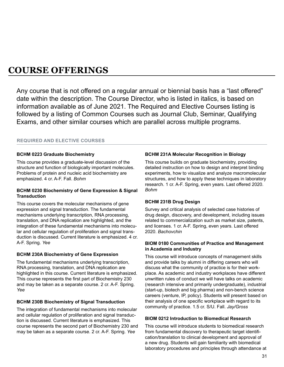<span id="page-30-0"></span>Any course that is not offered on a regular annual or biennial basis has a "last offered" date within the description. The Course Director, who is listed in italics, is based on information available as of June 2021. The Required and Elective Courses listing is followed by a listing of Common Courses such as Journal Club, Seminar, Qualifying Exams, and other similar courses which are parallel across multiple programs.

### **REQUIRED AND ELECTIVE COURSES**

#### **BCHM 0223 Graduate Biochemistry**

This course provides a graduate-level discussion of the structure and function of biologically important molecules. Problems of protein and nucleic acid biochemistry are emphasized. 4 cr. A-F. Fall. *Bohm*

#### **BCHM 0230 Biochemistry of Gene Expression & Signal Transduction**

This course covers the molecular mechanisms of gene expression and signal transduction. The fundamental mechanisms underlying transcription, RNA processing, translation, and DNA replication are highlighted, and the integration of these fundamental mechanisms into molecular and cellular regulation of proliferation and signal transduction is discussed. Current literature is emphasized. 4 cr. A-F. Spring. *Yee*

#### **BCHM 230A Biochemistry of Gene Expression**

The fundamental mechanisms underlying transcription, RNA processing, translation, and DNA replication are highlighted in this course. Current literature is emphasized. This course represents the first part of Biochemistry 230 and may be taken as a separate course. 2 cr. A-F. Spring. *Yee*

### **BCHM 230B Biochemistry of Signal Transduction**

The integration of fundamental mechanisms into molecular and cellular regulation of proliferation and signal transduction is discussed. Current literature is emphasized. This course represents the second part of Biochemistry 230 and may be taken as a separate course. 2 cr. A-F. Spring. *Yee*

### **BCHM 231A Molecular Recognition in Biology**

This course builds on graduate biochemistry, providing detailed instruction on how to design and interpret binding experiments, how to visualize and analyze macromolecular structures, and how to apply these techniques in laboratory research. 1 cr. A-F. Spring, even years. Last offered 2020. *Bohm*

#### **BCHM 231B Drug Design**

Survey and critical analysis of selected case histories of drug design, discovery, and development, including issues related to commercialization such as market size, patents, and licenses. 1 cr. A-F. Spring, even years. Last offered 2020. *Bachovchin*

#### **BIOM 0180 Communities of Practice and Management in Academia and Industry**

This course will introduce concepts of management skills and provide talks by alumni in differing careers who will discuss what the community of practice is for their workplace. As academic and industry workplaces have different unwritten rules of conduct we will have talks on academic (research intensive and primarily undergraduate), industrial (start-up, biotech and big pharma) and non-bench science careers (venture, IP, policy). Students will present based on their analysis of one specific workplace with regard to its community of practice. 1.5 cr. S/U. Fall. *Jay/Gross*

### **BIOM 0212 Introduction to Biomedical Research**

This course will introduce students to biomedical research from fundamental discovery to therapeutic target identification/translation to clinical development and approval of a new drug. Students will gain familiarity with biomedical laboratory procedures and principles through attendance at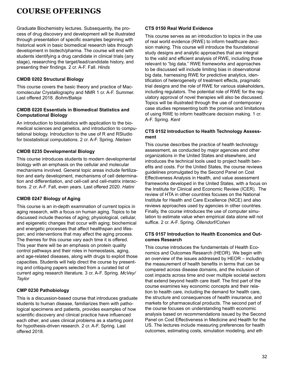Graduate Biochemistry lectures. Subsequently, the process of drug discovery and development will be illustrated through presentation of specific examples beginning with historical work in basic biomedical research labs through development in biotech/pharma. The course will end with students identifying a drug candidate in clinical trials (any stage), researching the target/lead/candidate history, and presenting their findings. 2 cr. A-F. Fall. *Hinds*

### **CMDB 0202 Structural Biology**

This course covers the basic theory and practice of Macromolecular Crystallography and NMR 1 cr. A-F. Summer. Last offered 2018. *Bohm/Baleja*

#### **CMDB 0220 Essentials in Biomedical Statistics and Computational Biology**

An introduction to biostatistics with application to the biomedical sciences and genetics, and introduction to computational biology. Introduction to the use of R and RStudio for biostatistical computations. 2 cr. A-F. Spring. *Nielsen*

### **CMDB 0235 Developmental Biology**

This course introduces students to modern developmental biology with an emphasis on the cellular and molecular mechanisms involved. General topic areas include fertilization and early development, mechanisms of cell determination and differentiation, and cell-cell and cell-matrix interactions. 2 cr. A-F. Fall, even years. Last offered 2020. *Hatini*

### **CMDB 0247 Biology of Aging**

This course is an in-depth examination of current topics in aging research, with a focus on human aging. Topics to be discussed include theories of aging; physiological, cellular, and epigenetic changes that occur with aging; biochemical and energetic processes that affect healthspan and lifespan; and interventions that may affect the aging process. The themes for this course vary each time it is offered. This year there will be an emphasis on protein quality control pathways and their roles in homeostasis, aging, and age-related diseases, along with drugs to exploit those capacities. Students will help direct the course by presenting and critiquing papers selected from a curated list of current aging research literature. 3 cr. A-F. Spring. *McVey/ Taylor*

### **CMP 0230 Pathobiology**

This is a discussion-based course that introduces graduate students to human disease, familiarizes them with pathological specimens and patients, provides examples of how scientific discovery and clinical practice have influenced each other, and uses clinical problems as a starting point for hypothesis-driven research. 2 cr. A-F. Spring. Last offered 2018.

### **CTS 0150 Real World Evidence**

This course serves as an introduction to topics in the use of real world evidence (RWE) to inform healthcare decision making. This course will introduce the foundational study designs and analytic approaches that are integral to the valid and efficient analysis of RWE, including those relevant to "big data." RWE frameworks and approaches to be discussed will include limiting bias in observational big data, harnessing RWE for predictive analytics, identification of heterogeneity of treatment effects, pragmatic trial designs and the role of RWE for various stakeholders, including regulators. The potential role of RWE for the regulatory approval of novel therapies will also be discussed. Topics will be illustrated through the use of contemporary case studies representing both the promise and limitations of using RWE to inform healthcare decision making. 1 cr. A-F. Spring. *Kent*

### **CTS 0152 Introduction to Health Technology Assessment**

This course describes the practice of health technology assessment, as conducted by major agencies and other organizations in the United States and elsewhere, and introduces the technical tools used to project health benefits and costs. For the United States, the course reviews guidelines promulgated by the Second Panel on Cost Effectiveness Analysis in Health, and value assessment frameworks developed in the United States, with a focus on the Institute for Clinical and Economic Review (ICER). The review of HTA in other countries focuses on the National Institute for Health and Care Excellence (NICE) and also reviews approaches used by agencies in other countries. Finally, the course introduces the use of computer simulation to estimate value when empirical data alone will not suffice. 2 cr. A-F. Spring. *Ollendorf/Cohen*

#### **CTS 0157 Introduction to Health Economics and Outcomes Research**

This course introduces the fundamentals of Health Economics and Outcomes Research (HEOR). We begin with an overview of the issues addressed by HEOR – including the measurement of health benefits in terms that can be compared across disease domains, and the inclusion of cost impacts across time and over multiple societal sectors that extend beyond health care itself. The first part of the course examines key economic concepts and their relation to health care, including the demand for health care, the structure and consequences of health insurance, and markets for pharmaceutical products. The second part of the course focuses on understanding health economic analysis based on recommendations issued by the Second Panel on Cost Effectiveness in Medicine and Health for the US. The lectures include measuring preferences for health outcomes, estimating costs, simulation modeling, and eth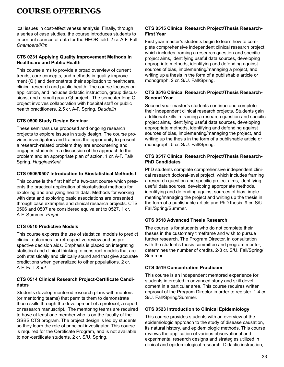ical issues in cost-effectiveness analysis. Finally, through a series of case studies, the course introduces students to important sources of data for the HEOR field. 2 cr. A-F. Fall. *Chambers/Kim*

### **CTS 0231 Applying Quality Improvement Methods in Healthcare and Public Health**

This course aims to provide a broad overview of current trends, core concepts, and methods in quality improvement (QI) and demonstrate their application to healthcare, clinical research and public health. The course focuses on application, and includes didactic instruction, group discussions, and a small group QI project. The semester long QI project involves collaboration with hospital staff or public health practitioners. 2.5 cr. A-F. Spring. *Daudelin*

### **CTS 0500 Study Design Seminar**

These seminars use proposed and ongoing research projects to explore issues in study design. The course provides investigators and trainees the opportunity to present a research-related problem they are encountering and engages students in a discussion of the approach to the problem and an appropriate plan of action. 1 cr. A-F. Fall/ Spring. *Huggins/Kent*

### **CTS 0506/0507 Introduction to Biostatistical Methods I**

This course is the first half of a two-part course which presents the practical application of biostatistical methods for exploring and analyzing health data. Methods for working with data and exploring basic associations are presented through case examples and clinical research projects. CTS 0506 and 0507 are considered equivalent to 0527. 1 cr. A-F. Summer. *Pagni*

### **CTS 0510 Predictive Models**

This course explores the use of statistical models to predict clinical outcomes for retrospective review and as prospective decision aids. Emphasis is placed on integrating statistical and clinical thinking to construct models that are both statistically and clinically sound and that give accurate predictions when generalized to other populations. 2 cr. A-F. Fall. *Kent*

### **CTS 0514 Clinical Research Project-Certificate Candidates**

Students develop mentored research plans with mentors (or mentoring teams) that permits them to demonstrate these skills through the development of a protocol, a report, or research manuscript. The mentoring teams are required to have at least one member who is on the faculty of the GSBS CTS program. The project design is led by students, so they learn the role of principal investigator. This course is required for the Certificate Program, and is not available to non-certificate students. 2 cr. S/U. Spring.

### **CTS 0515 Clinical Research Project/Thesis Research-First Year**

First year master's students begin to learn how to complete comprehensive independent clinical research project, which includes framing a research question and specific project aims, identifying useful data sources, developing appropriate methods, identifying and defending against sources of bias, implementing/managing a project, and writing up a thesis in the form of a publishable article or monograph. 2 cr. S/U. Fall/Spring.

### **CTS 0516 Clinical Research Project/Thesis Research-Second Year**

Second year master's students continue and complete their independent clinical research projects. Students gain additional skills in framing a research question and specific project aims, identifying useful data sources, developing appropriate methods, identifying and defending against sources of bias, implementing/managing the project, and writing up the thesis in the form of a publishable article or monograph. 5 cr. S/U. Fall/Spring.

### **CTS 0517 Clinical Research Project/Thesis Research-PhD Candidates**

PhD students complete comprehensive independent clinical research doctoral-level project, which includes framing a research question and specific project aims, identifying useful data sources, developing appropriate methods, identifying and defending against sources of bias, implementing/managing the project and writing up the thesis in the form of a publishable article and PhD thesis. 9 cr. S/U. Fall/Spring/Summer.

### **CTS 0518 Advanced Thesis Research**

The course is for students who do not complete their theses in the customary timeframe and wish to pursue further research. The Program Director, in consultation with the student's thesis committee and program mentor, determines the number of credits. 2-8 cr. S/U. Fall/Spring/ Summer.

### **CTS 0519 Concentration Practicum**

This course is an independent mentored experience for students interested in advanced study and skill development in a particular area. This course requires written approval of the Program Director in order to register. 1-4 cr. S/U. Fall/Spring/Summer.

### **CTS 0523 Introduction to Clinical Epidemiology**

This course provides students with an overview of the epidemiologic approach to the study of disease causation, its natural history, and epidemiologic methods. This course reviews the application of various observational and experimental research designs and strategies utilized in clinical and epidemiological research. Didactic instruction,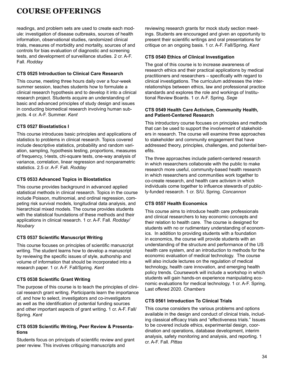readings, and problem sets are used to create each module: investigation of disease outbreaks, sources of health information, observational studies, randomized clinical trials, measures of morbidity and mortality, sources of and controls for bias evaluation of diagnostic and screening tests, and development of surveillance studies. 2 cr. A-F. Fall. *Rodday*

### **CTS 0525 Introduction to Clinical Care Research**

This course, meeting three hours daily over a four-week summer session, teaches students how to formulate a clinical research hypothesis and to develop it into a clinical research project. Students acquire an understanding of basic and advanced principles of study design and issues in conducting biomedical research involving human subjects. 4 cr. A-F. Summer. *Kent*

### **CTS 0527 Biostatistics I**

This course introduces basic principles and applications of statistics to problems in clinical research. Topics covered include descriptive statistics, probability and random variation, sampling, hypothesis testing, proportions, measures of frequency, t-tests, chi-square tests, one-way analysis of variance, correlation, linear regression and nonparametric statistics. 2.5 cr. A-F. Fall. *Rodday*

### **CTS 0533 Advanced Topics in Biostatistics**

This course provides background in advanced applied statistical methods in clinical research. Topics in the course include Poisson, multinomial, and ordinal regression, competing risk survival models, longitudinal data analysis, and hierarchical mixed models. The course provides students with the statistical foundations of these methods and their applications in clinical research. 1 cr. A-F. Fall. *Rodday/ Noubary*

### **CTS 0537 Scientific Manuscript Writing**

This course focuses on principles of scientific manuscript writing. The student learns how to develop a manuscript by reviewing the specific issues of style, authorship and volume of information that should be incorporated into a research paper. 1 cr. A-F. Fall/Spring. *Kent*

### **CTS 0538 Scientific Grant Writing**

The purpose of this course is to teach the principles of clinical research grant writing. Participants learn the importance of, and how to select, investigators and co-investigators as well as the identification of potential funding sources and other important aspects of grant writing. 1 cr. A-F. Fall/ Spring. *Kent*

### **CTS 0539 Scientific Writing, Peer Review & Presentations**

Students focus on principals of scientific review and grant peer review. This involves critiquing manuscripts and

reviewing research grants for mock study section meetings. Students are encouraged and given an opportunity to present their scientific writings and oral presentations for critique on an ongoing basis. 1 cr. A-F. Fall/Spring. *Kent*

### **CTS 0540 Ethics of Clinical Investigation**

The goal of this course is to increase awareness of research ethics and their practical applications by medical practitioners and researchers – specifically with regard to clinical investigations. The curriculum addresses the interrelationships between ethics, law and professional practice standards and explores the role and workings of Institutional Review Boards. 1 cr. A-F. Spring. *Sege*

#### **CTS 0549 Health Care Activism, Community Health, and Patient-Centered Research**

This introductory course focuses on principles and methods that can be used to support the involvement of stakeholders in research. The course will examine three approaches to stakeholder and community engagement that have addressed theory, principles, challenges, and potential benefits.

The three approaches include patient-centered research in which researchers collaborate with the public to make research more useful, community-based health research in which researchers and communities work together to co-create research, and health care activism in which individuals come together to influence stewards of publicly-funded research. 1 cr. S/U. Spring. *Concannon*

### **CTS 0557 Health Economics**

This course aims to introduce health care professionals and clinical researchers to key economic concepts and their relation to health care. The course is designed for students with no or rudimentary understanding of economics. In addition to providing students with a foundation in economics, the course will provide students with an understanding of the structure and performance of the US health care system, and an introduction to methods for the economic evaluation of medical technology. The course will also include lectures on the regulation of medical technology, health care innovation, and emerging health policy trends. Coursework will include a workshop in which students will gain hands-on experience manipulating economic evaluations for medical technology. 1 cr. A-F. Spring. Last offered 2020. *Chambers*

### **CTS 0561 Introduction To Clinical Trials**

This course considers the various problems and options available in the design and conduct of clinical trials, including classical efficacy trials and "effectiveness trials." Issues to be covered include ethics, experimental design, coordination and operations, database development, interim analysis, safety monitoring and analysis, and reporting. 1 cr. A-F. Fall. *Pittas*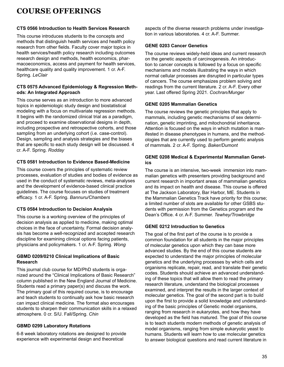### **CTS 0566 Introduction to Health Services Research**

This course introduces students to the concepts and methods that distinguish health services and health policy research from other fields. Faculty cover major topics in health services/health policy research including outcomes research design and methods, health economics, pharmacoeconomics, access and payment for health services, healthcare quality and quality improvement. 1 cr. A-F. Spring. *LeClair*

### **CTS 0575 Advanced Epidemiology & Regression Methods: An Integrated Approach**

This course serves as an introduction to more advanced topics in epidemiologic study design and biostatistical modeling with a focus on multivariate regression methods. It begins with the randomized clinical trial as a paradigm, and proceed to examine observational designs in depth, including prospective and retrospective cohorts, and those sampling from an underlying cohort (i.e. case-control). Design, sampling and analysis strategies and the biases that are specific to each study design will be discussed. 4 cr. A-F. Spring. *Rodday*

### **CTS 0581 Introduction to Evidence Based-Medicine**

This course covers the principles of systematic review processes, evaluation of studies and bodies of evidence as used in the conduct of systematic reviews, meta-analyses and the development of evidence-based clinical practice guidelines. The course focuses on studies of treatment efficacy. 1 cr. A-F. Spring. *Bannuru/Chambers*

### **CTS 0584 Introduction to Decision Analysis**

This course is a working overview of the principles of decision analysis as applied to medicine, making optimal choices in the face of uncertainty. Formal decision analysis has become a well-recognized and accepted research discipline for examining clinical options facing patients, physicians and policymakers. 1 cr. A-F. Spring. *Wong*

### **GBMD 0209/0210 Clinical Implications of Basic Research**

This journal club course for MD/PhD students is organized around the "Clinical Implications of Basic Research" column published in the New England Journal of Medicine. Students read a primary paper(s) and discuss the work. The primary goal of this required course, is to encourage and teach students to continually ask how basic research can impact clinical medicine. The format also encourages students to sharpen their communication skills in a relaxed atmosphere. 0 cr. S/U. Fall/Spring. *Chin*

### **GBMD 0299 Laboratory Rotations**

6-8 week laboratory rotations are designed to provide experience with experimental design and theoretical

aspects of the diverse research problems under investigation in various laboratories. 4 cr. A-F. Summer.

### **GENE 0203 Cancer Genetics**

The course reviews widely-held ideas and current research on the genetic aspects of carcinogenesis. An introduction to cancer concepts is followed by a focus on specific mechanisms and models illustrating the ways in which normal cellular processes are disrupted in particular types of cancers. The course emphasizes problem solving and readings from the current literature. 2 cr. A-F. Every other year. Last offered Spring 2021. *Cochran/Munger*

### **GENE 0205 Mammalian Genetics**

The course reviews the genetic principles that apply to mammals, including genetic mechanisms of sex determination, genetic imprinting, and mitochondrial inheritance. Attention is focused on the ways in which mutation is manifested in disease phenotypes in humans, and the methodologies that are currently used to perform genetic analysis of mammals. 2 cr. A-F. Spring. *Baker/Dumont*

### **GENE 0208 Medical & Experimental Mammalian Genetics**

The course is an intensive, two-week immersion into mammalian genetics with presenters providing background and current research in important areas of mammalian genetics and its impact on health and disease. This course is offered at The Jackson Laboratory, Bar Harbor, ME. Students in the Mammalian Genetics Track have priority for this course; a limited number of slots are available for other GSBS students with permission from the Genetics program and the Dean's Office. 4 cr. A-F. Summer. *Tewhey/Trowbridge*

### **GENE 0212 Introduction to Genetics**

The goal of the first part of the course is to provide a common foundation for all students in the major principles of molecular genetics upon which they can base more advanced studies. By the end of this course students are expected to understand the major principles of molecular genetics and the underlying processes by which cells and organisms replicate, repair, read, and translate their genetic codes. Students should achieve an advanced understanding of these topics that will allow them to read the primary research literature, understand the biological processes examined, and interpret the results in the larger context of molecular genetics. The goal of the second part is to build upon the first to provide a solid knowledge and understanding of the basic principles of Genetic model organisms, ranging from research in eukaryotes, and how they have developed as the field has matured. The goal of this course is to teach students modern methods of genetic analysis of model organisms, ranging from simple eukaryotic yeast to humans. Students will learn how to use molecular genetics to answer biological questions and read current literature in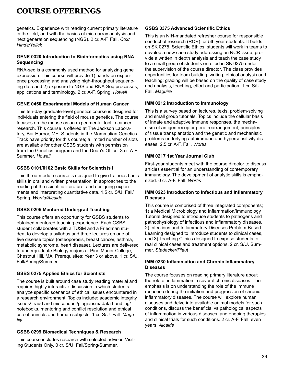genetics. Experience with reading current primary literature in the field, and with the basics of microarray analysis and next generation sequencing (NGS). 2 cr. A-F. Fall. *Cox/ Hinds/Yelick*

### **GENE 0320 Introduction to Bioinformatics using RNA Sequencing**

RNA-seq is a commonly used method for analyzing gene expression. This course will provide 1) hands-on experience processing and analyzing high-throughput sequencing data and 2) exposure to NGS and RNA-Seq processes, applications and terminology. 2 cr. A-F. Spring. *Howell*

#### **GENE 0450 Experimental Models of Human Cancer**

This ten-day graduate-level genetics course is designed for individuals entering the field of mouse genetics. The course focuses on the mouse as an experimental tool in cancer research. This course is offered at The Jackson Laboratory, Bar Harbor, ME. Students in the Mammalian Genetics Track have priority for this course; a limited number of slots are available for other GSBS students with permission from the Genetics program and the Dean's Office. 3 cr. A-F. Summer. *Howell*

#### **GSBS 0101/0102 Basic Skills for Scientists I**

This three-module course is designed to give trainees basic skills in oral and written presentation, in approaches to the reading of the scientific literature, and designing experiments and interpreting quantitative data. 1.5 cr. S/U. Fall/ Spring. *Wortis/Alcaide*

### **GSBS 0205 Mentored Undergrad Teaching**

This course offers an opportunity for GSBS students to obtained mentored teaching experience. Each GSBS student collaborates with a TUSM and a Friedman student to develop a syllabus and three lectures on one of five disease topics (osteoporosis, breast cancer, asthma, metabolic syndrome, heart disease). Lectures are delivered to undergraduate Biology majors at Pine Manor College, Chestnut Hill, MA. Prerequisites: Year 3 or above. 1 cr. S/U. Fall/Spring/Summer.

### **GSBS 0275 Applied Ethics for Scientists**

The course is built around case study reading material and requires highly interactive discussion in which students analyze specific scenarios of ethical issues encountered in a research environment. Topics include: academic integrity issues/ fraud and misconduct/plagiarism/ data handling/ notebooks, mentoring and conflict resolution and ethical use of animals and human subjects. 1 cr. S/U. Fall. *Maguire*

### **GSBS 0299 Biomedical Techniques & Research**

This course includes research with selected advisor. Visiting Students Only. 0 cr. S/U. Fall/Spring/Summer.

#### **GSBS 0375 Advanced Scientific Ethics**

This is an NIH-mandated refresher course for responsible conduct of research (RCR) for 5th year students. It builds on SK 0275, Scientific Ethics; students will work in teams to develop a new case study addressing an RCR issue, provide a written in depth analysis and teach the case study to a small group of students enrolled in SK 0275 under the supervision of the course director. The class provides opportunities for team building, writing, ethical analysis and teaching; grading will be based on the quality of case study and analysis, teaching, effort and participation. 1 cr. S/U. Fall. *Maguire*

#### **IMM 0212 Introduction to Immunology**

This is a survey based on lectures, texts, problem-solving and small group tutorials. Topics include the cellular basis of innate and adaptive immune responses, the mechanism of antigen receptor gene rearrangement, principles of tissue transplantation and the genetic and mechanistic problems underlying autoimmune and hypersensitivity diseases. 2.5 cr. A-F. Fall. *Wortis*

#### **IMM 0217 1st Year Journal Club**

First-year students meet with the course director to discuss articles essential for an understanding of contemporary immunology. The development of analytic skills is emphasized. 0 cr. A-F. Fall. *Wortis*

#### **IMM 0223 Introduction to Infectious and Inflammatory Diseases**

This course is comprised of three integrated components; 1) a Medical Microbiology and Inflammation/Immunology Tutorial designed to introduce students to pathogens and pathophysiology of infectious and inflammatory diseases, 2) Infectious and Inflammatory Diseases Problem-Based Learning designed to introduce students to clinical cases, and 3) Teaching Clinics designed to expose students to real clinical cases and treatment options. 2 cr. S/U. Summer. *Stadecker/Plaut*

#### **IMM 0230 Inflammation and Chronic Inflammatory Diseases**

The course focuses on reading primary literature about the role of inflammation in several chronic diseases. The emphasis is on understanding the role of the immune response during the initiation and progression of chronic inflammatory diseases. The course will explore human diseases and delve into available animal models for such conditions, discuss the beneficial vs pathological aspects of inflammation in various diseases, and ongoing therapies and clinical trials for such conditions. 2 cr. A-F. Fall, even years. *Alcaide*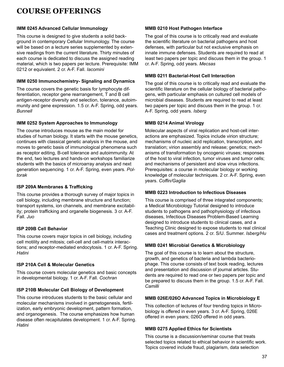### **IMM 0245 Advanced Cellular Immunology**

This course is designed to give students a solid background in contemporary Cellular Immunology. The course will be based on a lecture series supplemented by extensive readings from the current literature. Thirty minutes of each course is dedicated to discuss the assigned reading material, which is two papers per lecture. Prerequisite: IMM 0212 or equivalent. 2 cr. A-F. Fall. *Iacomini*

### **IMM 0250 Immunochemistry- Signaling and Dynamics**

The course covers the genetic basis for lymphocyte differentiation, receptor gene rearrangement, T and B cell antigen-receptor diversity and selection, tolerance, autoimmunity and gene expression. 1.5 cr. A-F. Spring, odd years. *Bunnell*

### **IMM 0252 System Approaches to Immunology**

The course introduces mouse as the main model for studies of human biology. It starts with the mouse genetics, continues with classical genetic analysis in the mouse, and moves to genetic basis of immunological phenomena such as receptor editing, B-cell tolerance and autoimmunity. At the end, two lectures and hands-on workshops familiarize students with the basics of microarray analysis and next generation sequencing. 1 cr. A-F. Spring, even years. *Poltorak*

### **ISP 209A Membranes & Trafficking**

This course provides a thorough survey of major topics in cell biology, including membrane structure and function; transport systems, ion channels, and membrane excitability; protein trafficking and organelle biogenesis. 3 cr. A-F. Fall. *Juo*

### **ISP 209B Cell Behavior**

This course covers major topics in cell biology, including cell motility and mitosis; cell-cell and cell-matrix interactions; and receptor-mediated endocytosis. 1 cr. A-F. Spring. *Hatini*

### **ISP 210A Cell & Molecular Genetics**

This course covers molecular genetics and basic concepts in developmental biology. 1 cr. A-F. Fall. *Cochran*

### **ISP 210B Molecular Cell Biology of Development**

This course introduces students to the basic cellular and molecular mechanisms involved in gametogenesis, fertilization, early embryonic development, pattern formation, and organogenesis. The course emphasizes how human disease often recapitulates development. 1 cr. A-F. Spring. *Hatini*

### **MMB 0210 Host Pathogen Interface**

The goal of this course is to critically read and evaluate the scientific literature on bacterial pathogens and host defenses, with particular but not exclusive emphasis on innate immune defenses. Students are required to read at least two papers per topic and discuss them in the group. 1 cr. A-F. Spring, odd years. *Mecsas*

### **MMB 0211 Bacterial-Host Cell Interaction**

The goal of this course is to critically read and evaluate the scientific literature on the cellular biology of bacterial pathogens, with particular emphasis on cultured cell models of microbial diseases. Students are required to read at least two papers per topic and discuss them in the group. 1 cr. A-F. Spring, odd years. *Isberg*

### **MMB 0214 Animal Virology**

Molecular aspects of viral replication and host-cell interactions are emphasized. Topics include virion structure; mechanisms of nucleic acid replication, transcription, and translation; virion assembly and release; genetics; mechanisms of transformation by oncogenic viruses; responses of the host to viral infection, tumor viruses and tumor cells; and mechanisms of persistent and slow virus infections. Prerequisites: a course in molecular biology or working knowledge of molecular techniques. 2 cr. A-F. Spring, even years. *Coffin/Gaglia*

### **MMB 0223 Introduction to Infectious Diseases**

This course is comprised of three integrated components; a Medical Microbiology Tutorial designed to introduce students to pathogens and pathophysiology of infectious diseases, Infectious Diseases Problem-Based Learning designed to introduce students to clinical cases, and a Teaching Clinic designed to expose students to real clinical cases and treatment options. 2 cr. S/U. Summer. *Isberg/Hu*

### **MMB 0241 Microbial Genetics & Microbiology**

The goal of this course is to learn about the structure, growth, and genetics of bacteria and lambda bacteriophage. This course consists of text book reading, lectures and presentation and discussion of journal articles. Students are required to read one or two papers per topic and be prepared to discuss them in the group. 1.5 cr. A-F. Fall. *Camilli*

### **MMB 026E/026O Advanced Topics in Microbiology E**

This collection of lectures of four trending topics in Microbiology is offered in even years. 3 cr. A-F. Spring, 026E offered in even years; 026O offered in odd years.

### **MMB 0275 Applied Ethics for Scientists**

This course is a discussion/seminar course that treats selected topics related to ethical behavior in scientific work. Topics covered include fraud, plagiarism, data selection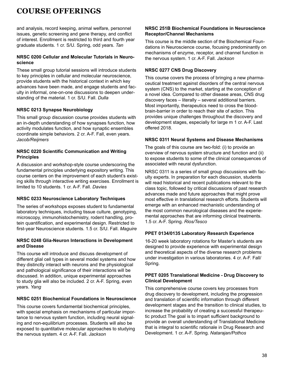and analysis, record keeping, animal welfare, personnel issues, genetic screening and gene therapy, and conflict of interest. Enrollment is restricted to third and fourth year graduate students. 1 cr. S/U. Spring, odd years. *Tan*

### **NRSC 0200 Cellular and Molecular Tutorials in Neuroscience**

These small group tutorial sessions will introduce students to key principles in cellular and molecular neuroscience, provide students with the historical context in which key advances have been made, and engage students and faculty in informal, one-on-one discussions to deepen understanding of the material. 1 cr. S/U. Fall. *Dulla*

### **NRSC 0213 Synapse Neurobiology**

This small group discussion course provides students with an in-depth understanding of how synapses function, how activity modulates function, and how synaptic ensembles coordinate simple behaviors. 2 cr. A-F. Fall, even years. *Jacob/Reijmers*

### **NRSC 0220 Scientific Communication and Writing Principles**

A discussion and workshop-style course underscoring the fundamental principles underlying expository writing. This course centers on the improvement of each student's existing skills through interactive writing exercises. Enrollment is limited to 10 students. 1 cr. A-F. Fall. *Davies*

### **NRSC 0233 Neuroscience Laboratory Techniques**

The series of workshops exposes student to fundamental laboratory techniques, including tissue culture, genotyping, microscopy, immunohistochemistry, rodent handling, protein quantification, and experimental design. Restricted to first-year Neuroscience students. 1.5 cr. S/U. Fall. *Maguire*

#### **NRSC 0248 Glia-Neuron Interactions in Development and Disease**

This course will introduce and discuss development of different glial cell types in several model systems and how they distinctly interact with neurons and the physiological and pathological significance of their interactions will be discussed. In addition, unique experimental approaches to study glia will also be included. 2 cr. A-F. Spring, even years. *Yang*

### **NRSC 0251 Biochemical Foundations in Neuroscience**

This course covers fundamental biochemical principles, with special emphasis on mechanisms of particular importance to nervous system function, including neural signaling and non-equilibrium processes. Students will also be exposed to quantitative molecular approaches to studying the nervous system. 4 cr. A-F. Fall. *Jackson*

#### **NRSC 251B Biochemical Foundations in Neuroscience Receptor/Channel Mechanisms**

This course is the middle section of the Biochemical Foundations in Neuroscience course, focusing predominantly on mechanisms of enzyme, receptor, and channel function in the nervous system. 1 cr. A-F. Fall. *Jackson*

### **NRSC 0277 CNS Drug Discovery**

This course covers the process of bringing a new pharmaceutical treatment against disorders of the central nervous system (CNS) to the market, starting at the conception of a novel idea. Compared to other disease areas, CNS drug discovery faces – literally – several additional barriers. Most importantly, therapeutics need to cross the bloodbrain-barrier in order to reach their site of action. This provides unique challenges throughout the discovery and development stages, especially for large m 1 cr. A-F. Last offered 2018.

### **NRSC 0311 Neural Systems and Disease Mechanisms**

The goals of this course are two-fold: (i) to provide an overview of nervous system structure and function and (ii) to expose students to some of the clinical consequences of associated with neural dysfunction.

NRSC 0311 is a series of small group discussions with faculty experts. In preparation for each discussion, students will read historical and recent publications relevant to the class topic, followed by critical discussions of past research advances made and future approaches that might prove most effective in translational research efforts. Students will emerge with an enhanced mechanistic understanding of the most common neurological diseases and the experiemental approaches that are informing clinical treatments. 1.5 cr. A-F. Spring. *Rios/Tesco*

### **PPET 0134/0135 Laboratory Research Experience**

16-20 week laboratory rotations for Master's students are designed to provide experience with experimental design and theoretical aspects of the diverse research problems under investigation in various laboratories. 4 cr. A-F. Fall/ Spring.

### **PPET 0205 Translational Medicine - Drug Discovery to Clinical Development**

This comprehensive course covers key processes from drug discovery to development, including the progression and translation of scientific information through different development stages and the transition to clinical studies, to increase the probability of creating a successful therapeutic product The goal is to impart sufficient background to provide an overall understanding of Translational Medicine that is integral to scientific rationale in Drug Research and Development. 1 cr. A-F. Spring. *Natarajan/Pothos*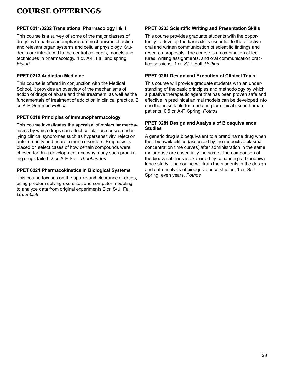### <span id="page-38-0"></span>**PPET 0211/0232 Translational Pharmacology I & II**

This course is a survey of some of the major classes of drugs, with particular emphasis on mechanisms of action and relevant organ systems and cellular physiology. Students are introduced to the central concepts, models and techniques in pharmacology. 4 cr. A-F. Fall and spring. *Fiaturi*

### **PPET 0213 Addiction Medicine**

This course is offered in conjunction with the Medical School. It provides an overview of the mechanisms of action of drugs of abuse and their treatment, as well as the fundamentals of treatment of addiction in clinical practice. 2 cr. A-F. Summer. *Pothos*

### **PPET 0218 Principles of Immunopharmacology**

This course investigates the appraisal of molecular mechanisms by which drugs can affect cellular processes underlying clinical syndromes such as hypersensitivity, rejection, autoimmunity and neuroimmune disorders. Emphasis is placed on select cases of how certain compounds were chosen for drug development and why many such promising drugs failed. 2 cr. A-F. Fall. *Theoharides*

### **PPET 0221 Pharmacokinetics in Biological Systems**

This course focuses on the uptake and clearance of drugs, using problem-solving exercises and computer modeling to analyze data from original experiments 2 cr. S/U. Fall. *Greenblatt*

### **PPET 0233 Scientific Writing and Presentation Skills**

This course provides graduate students with the opportunity to develop the basic skills essential to the effective oral and written communication of scientific findings and research proposals. The course is a combination of lectures, writing assignments, and oral communication practice sessions. 1 cr. S/U. Fall. *Pothos*

### **PPET 0261 Design and Execution of Clinical Trials**

This course will provide graduate students with an understanding of the basic principles and methodology by which a putative therapeutic agent that has been proven safe and effective in preclinical animal models can be developed into one that is suitable for marketing for clinical use in human patients. 0.5 cr. A-F. Spring. *Pothos*

### **PPET 0281 Design and Analysis of Bioequivalence Studies**

A generic drug is bioequivalent to a brand name drug when their bioavailabilities (assessed by the respective plasma concentration time curves) after administration in the same molar dose are essentially the same. The comparison of the bioavailabilities is examined by conducting a bioequivalence study. The course will train the students in the design and data analysis of bioequivalence studies. 1 cr. S/U. Spring, even years. *Pothos*